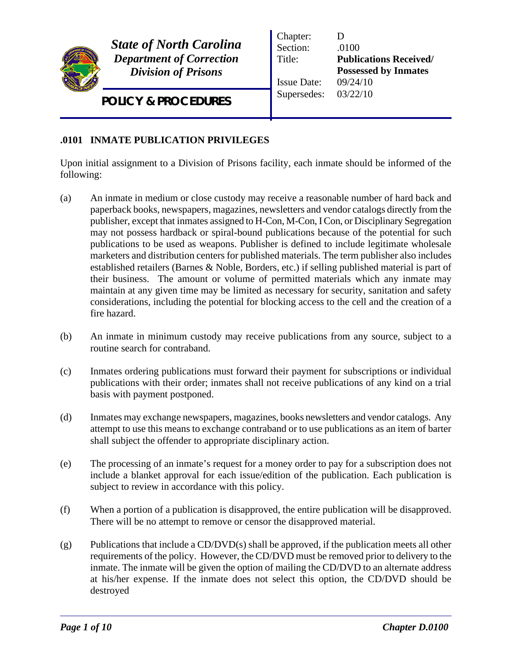

*State of North Carolina Department of Correction Division of Prisons*

*POLICY & PROCEDURES*

Chapter: D Section: .0100 Title: **Publications Received/ Possessed by Inmates** Issue Date: 09/24/10 Supersedes: 03/22/10

## **.0101 INMATE PUBLICATION PRIVILEGES**

Upon initial assignment to a Division of Prisons facility, each inmate should be informed of the following:

- (a) An inmate in medium or close custody may receive a reasonable number of hard back and paperback books, newspapers, magazines, newsletters and vendor catalogs directly from the publisher, except that inmates assigned to H-Con, M-Con, I Con, or Disciplinary Segregation may not possess hardback or spiral-bound publications because of the potential for such publications to be used as weapons. Publisher is defined to include legitimate wholesale marketers and distribution centers for published materials. The term publisher also includes established retailers (Barnes & Noble, Borders, etc.) if selling published material is part of their business. The amount or volume of permitted materials which any inmate may maintain at any given time may be limited as necessary for security, sanitation and safety considerations, including the potential for blocking access to the cell and the creation of a fire hazard.
- (b) An inmate in minimum custody may receive publications from any source, subject to a routine search for contraband.
- (c) Inmates ordering publications must forward their payment for subscriptions or individual publications with their order; inmates shall not receive publications of any kind on a trial basis with payment postponed.
- (d) Inmates may exchange newspapers, magazines, books newsletters and vendor catalogs. Any attempt to use this means to exchange contraband or to use publications as an item of barter shall subject the offender to appropriate disciplinary action.
- (e) The processing of an inmate's request for a money order to pay for a subscription does not include a blanket approval for each issue/edition of the publication. Each publication is subject to review in accordance with this policy.
- (f) When a portion of a publication is disapproved, the entire publication will be disapproved. There will be no attempt to remove or censor the disapproved material.
- (g) Publications that include a CD/DVD(s) shall be approved, if the publication meets all other requirements of the policy. However, the CD/DVD must be removed prior to delivery to the inmate. The inmate will be given the option of mailing the CD/DVD to an alternate address at his/her expense. If the inmate does not select this option, the CD/DVD should be destroyed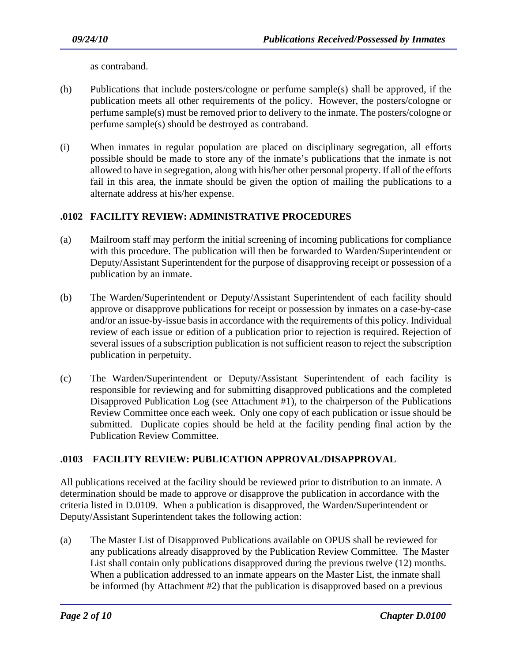as contraband.

- (h) Publications that include posters/cologne or perfume sample(s) shall be approved, if the publication meets all other requirements of the policy. However, the posters/cologne or perfume sample(s) must be removed prior to delivery to the inmate. The posters/cologne or perfume sample(s) should be destroyed as contraband.
- (i) When inmates in regular population are placed on disciplinary segregation, all efforts possible should be made to store any of the inmate's publications that the inmate is not allowed to have in segregation, along with his/her other personal property. If all of the efforts fail in this area, the inmate should be given the option of mailing the publications to a alternate address at his/her expense.

## **.0102 FACILITY REVIEW: ADMINISTRATIVE PROCEDURES**

- (a) Mailroom staff may perform the initial screening of incoming publications for compliance with this procedure. The publication will then be forwarded to Warden/Superintendent or Deputy/Assistant Superintendent for the purpose of disapproving receipt or possession of a publication by an inmate.
- (b) The Warden/Superintendent or Deputy/Assistant Superintendent of each facility should approve or disapprove publications for receipt or possession by inmates on a case-by-case and/or an issue-by-issue basis in accordance with the requirements of this policy. Individual review of each issue or edition of a publication prior to rejection is required. Rejection of several issues of a subscription publication is not sufficient reason to reject the subscription publication in perpetuity.
- (c) The Warden/Superintendent or Deputy/Assistant Superintendent of each facility is responsible for reviewing and for submitting disapproved publications and the completed Disapproved Publication Log (see Attachment #1), to the chairperson of the Publications Review Committee once each week. Only one copy of each publication or issue should be submitted. Duplicate copies should be held at the facility pending final action by the Publication Review Committee.

## **.0103 FACILITY REVIEW: PUBLICATION APPROVAL/DISAPPROVAL**

All publications received at the facility should be reviewed prior to distribution to an inmate. A determination should be made to approve or disapprove the publication in accordance with the criteria listed in D.0109. When a publication is disapproved, the Warden/Superintendent or Deputy/Assistant Superintendent takes the following action:

(a) The Master List of Disapproved Publications available on OPUS shall be reviewed for any publications already disapproved by the Publication Review Committee. The Master List shall contain only publications disapproved during the previous twelve (12) months. When a publication addressed to an inmate appears on the Master List, the inmate shall be informed (by Attachment #2) that the publication is disapproved based on a previous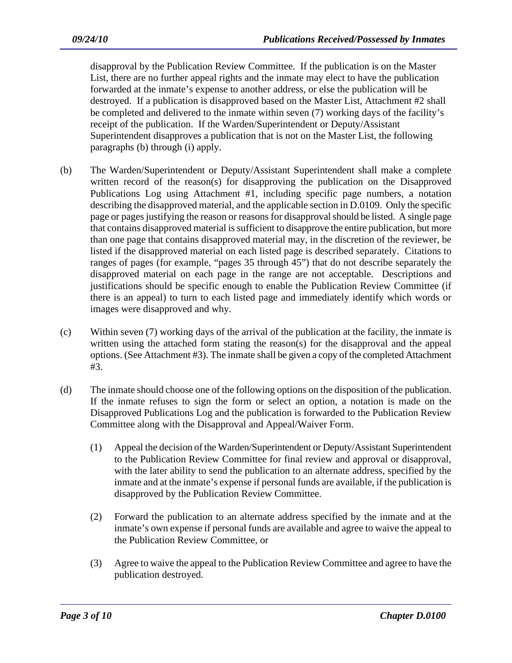disapproval by the Publication Review Committee. If the publication is on the Master List, there are no further appeal rights and the inmate may elect to have the publication forwarded at the inmate's expense to another address, or else the publication will be destroyed. If a publication is disapproved based on the Master List, Attachment #2 shall be completed and delivered to the inmate within seven (7) working days of the facility's receipt of the publication. If the Warden/Superintendent or Deputy/Assistant Superintendent disapproves a publication that is not on the Master List, the following paragraphs (b) through (i) apply.

- (b) The Warden/Superintendent or Deputy/Assistant Superintendent shall make a complete written record of the reason(s) for disapproving the publication on the Disapproved Publications Log using Attachment #1, including specific page numbers, a notation describing the disapproved material, and the applicable section in D.0109. Only the specific page or pages justifying the reason or reasons for disapproval should be listed. A single page that contains disapproved material is sufficient to disapprove the entire publication, but more than one page that contains disapproved material may, in the discretion of the reviewer, be listed if the disapproved material on each listed page is described separately. Citations to ranges of pages (for example, "pages 35 through 45") that do not describe separately the disapproved material on each page in the range are not acceptable. Descriptions and justifications should be specific enough to enable the Publication Review Committee (if there is an appeal) to turn to each listed page and immediately identify which words or images were disapproved and why.
- (c) Within seven (7) working days of the arrival of the publication at the facility, the inmate is written using the attached form stating the reason(s) for the disapproval and the appeal options. (See Attachment #3). The inmate shall be given a copy of the completed Attachment #3.
- (d) The inmate should choose one of the following options on the disposition of the publication. If the inmate refuses to sign the form or select an option, a notation is made on the Disapproved Publications Log and the publication is forwarded to the Publication Review Committee along with the Disapproval and Appeal/Waiver Form.
	- (1) Appeal the decision of the Warden/Superintendent or Deputy/Assistant Superintendent to the Publication Review Committee for final review and approval or disapproval, with the later ability to send the publication to an alternate address, specified by the inmate and at the inmate's expense if personal funds are available, if the publication is disapproved by the Publication Review Committee.
	- (2) Forward the publication to an alternate address specified by the inmate and at the inmate's own expense if personal funds are available and agree to waive the appeal to the Publication Review Committee, or
	- (3) Agree to waive the appeal to the Publication Review Committee and agree to have the publication destroyed.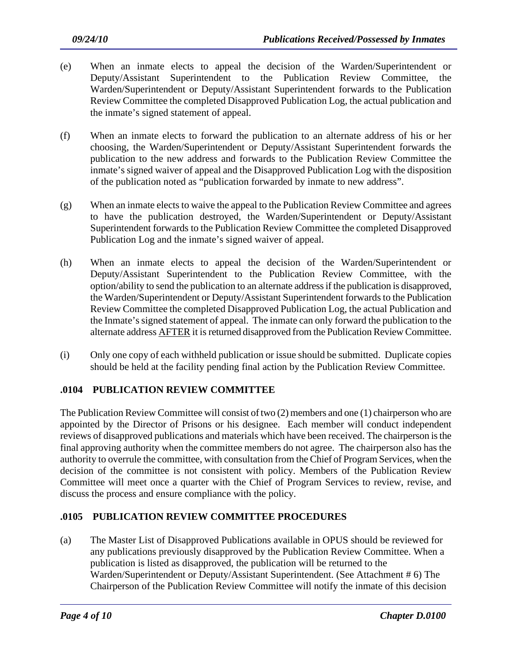- (e) When an inmate elects to appeal the decision of the Warden/Superintendent or Deputy/Assistant Superintendent to the Publication Review Committee, the Warden/Superintendent or Deputy/Assistant Superintendent forwards to the Publication Review Committee the completed Disapproved Publication Log, the actual publication and the inmate's signed statement of appeal.
- (f) When an inmate elects to forward the publication to an alternate address of his or her choosing, the Warden/Superintendent or Deputy/Assistant Superintendent forwards the publication to the new address and forwards to the Publication Review Committee the inmate's signed waiver of appeal and the Disapproved Publication Log with the disposition of the publication noted as "publication forwarded by inmate to new address".
- (g) When an inmate elects to waive the appeal to the Publication Review Committee and agrees to have the publication destroyed, the Warden/Superintendent or Deputy/Assistant Superintendent forwards to the Publication Review Committee the completed Disapproved Publication Log and the inmate's signed waiver of appeal.
- (h) When an inmate elects to appeal the decision of the Warden/Superintendent or Deputy/Assistant Superintendent to the Publication Review Committee, with the option/ability to send the publication to an alternate address if the publication is disapproved, the Warden/Superintendent or Deputy/Assistant Superintendent forwards to the Publication Review Committee the completed Disapproved Publication Log, the actual Publication and the Inmate's signed statement of appeal. The inmate can only forward the publication to the alternate address AFTER it is returned disapproved from the Publication Review Committee.
- (i) Only one copy of each withheld publication or issue should be submitted. Duplicate copies should be held at the facility pending final action by the Publication Review Committee.

## **.0104 PUBLICATION REVIEW COMMITTEE**

The Publication Review Committee will consist of two (2) members and one (1) chairperson who are appointed by the Director of Prisons or his designee. Each member will conduct independent reviews of disapproved publications and materials which have been received. The chairperson is the final approving authority when the committee members do not agree. The chairperson also has the authority to overrule the committee, with consultation from the Chief of Program Services, when the decision of the committee is not consistent with policy. Members of the Publication Review Committee will meet once a quarter with the Chief of Program Services to review, revise, and discuss the process and ensure compliance with the policy.

## **.0105 PUBLICATION REVIEW COMMITTEE PROCEDURES**

(a) The Master List of Disapproved Publications available in OPUS should be reviewed for any publications previously disapproved by the Publication Review Committee. When a publication is listed as disapproved, the publication will be returned to the Warden/Superintendent or Deputy/Assistant Superintendent. (See Attachment # 6) The Chairperson of the Publication Review Committee will notify the inmate of this decision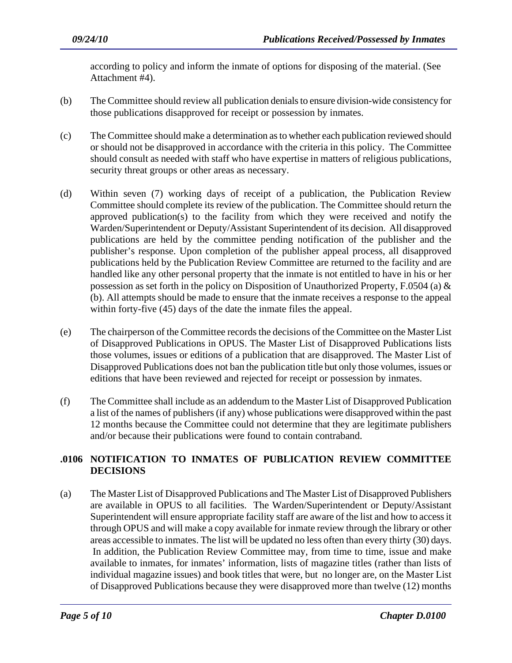according to policy and inform the inmate of options for disposing of the material. (See Attachment #4).

- (b) The Committee should review all publication denials to ensure division-wide consistency for those publications disapproved for receipt or possession by inmates.
- (c) The Committee should make a determination as to whether each publication reviewed should or should not be disapproved in accordance with the criteria in this policy. The Committee should consult as needed with staff who have expertise in matters of religious publications, security threat groups or other areas as necessary.
- (d) Within seven (7) working days of receipt of a publication, the Publication Review Committee should complete its review of the publication. The Committee should return the approved publication(s) to the facility from which they were received and notify the Warden/Superintendent or Deputy/Assistant Superintendent of its decision. All disapproved publications are held by the committee pending notification of the publisher and the publisher's response. Upon completion of the publisher appeal process, all disapproved publications held by the Publication Review Committee are returned to the facility and are handled like any other personal property that the inmate is not entitled to have in his or her possession as set forth in the policy on Disposition of Unauthorized Property, F.0504 (a) & (b). All attempts should be made to ensure that the inmate receives a response to the appeal within forty-five (45) days of the date the inmate files the appeal.
- (e) The chairperson of the Committee records the decisions of the Committee on the Master List of Disapproved Publications in OPUS. The Master List of Disapproved Publications lists those volumes, issues or editions of a publication that are disapproved. The Master List of Disapproved Publications does not ban the publication title but only those volumes, issues or editions that have been reviewed and rejected for receipt or possession by inmates.
- (f) The Committee shall include as an addendum to the Master List of Disapproved Publication a list of the names of publishers (if any) whose publications were disapproved within the past 12 months because the Committee could not determine that they are legitimate publishers and/or because their publications were found to contain contraband.

## **.0106 NOTIFICATION TO INMATES OF PUBLICATION REVIEW COMMITTEE DECISIONS**

(a) The Master List of Disapproved Publications and The Master List of Disapproved Publishers are available in OPUS to all facilities. The Warden/Superintendent or Deputy/Assistant Superintendent will ensure appropriate facility staff are aware of the list and how to access it through OPUS and will make a copy available for inmate review through the library or other areas accessible to inmates. The list will be updated no less often than every thirty (30) days. In addition, the Publication Review Committee may, from time to time, issue and make available to inmates, for inmates' information, lists of magazine titles (rather than lists of individual magazine issues) and book titles that were, but no longer are, on the Master List of Disapproved Publications because they were disapproved more than twelve (12) months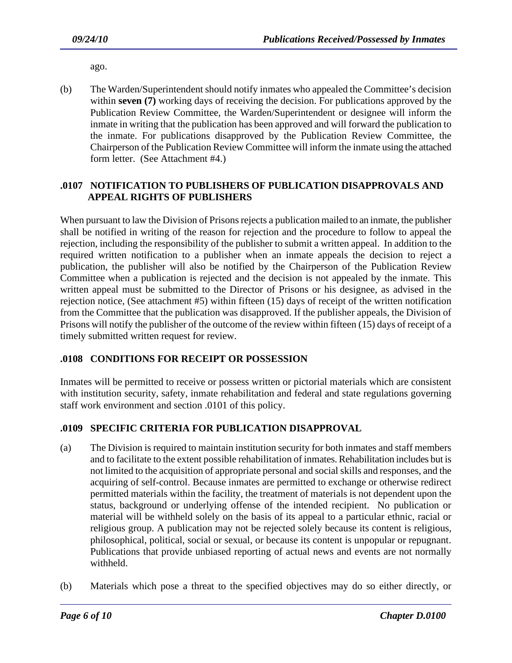ago.

(b) The Warden/Superintendent should notify inmates who appealed the Committee's decision within **seven (7)** working days of receiving the decision. For publications approved by the Publication Review Committee, the Warden/Superintendent or designee will inform the inmate in writing that the publication has been approved and will forward the publication to the inmate. For publications disapproved by the Publication Review Committee, the Chairperson of the Publication Review Committee will inform the inmate using the attached form letter. (See Attachment #4.)

## **.0107 NOTIFICATION TO PUBLISHERS OF PUBLICATION DISAPPROVALS AND APPEAL RIGHTS OF PUBLISHERS**

When pursuant to law the Division of Prisons rejects a publication mailed to an inmate, the publisher shall be notified in writing of the reason for rejection and the procedure to follow to appeal the rejection, including the responsibility of the publisher to submit a written appeal. In addition to the required written notification to a publisher when an inmate appeals the decision to reject a publication, the publisher will also be notified by the Chairperson of the Publication Review Committee when a publication is rejected and the decision is not appealed by the inmate. This written appeal must be submitted to the Director of Prisons or his designee, as advised in the rejection notice, (See attachment #5) within fifteen (15) days of receipt of the written notification from the Committee that the publication was disapproved. If the publisher appeals, the Division of Prisons will notify the publisher of the outcome of the review within fifteen (15) days of receipt of a timely submitted written request for review.

## **.0108 CONDITIONS FOR RECEIPT OR POSSESSION**

Inmates will be permitted to receive or possess written or pictorial materials which are consistent with institution security, safety, inmate rehabilitation and federal and state regulations governing staff work environment and section .0101 of this policy.

## **.0109 SPECIFIC CRITERIA FOR PUBLICATION DISAPPROVAL**

- (a) The Division is required to maintain institution security for both inmates and staff members and to facilitate to the extent possible rehabilitation of inmates. Rehabilitation includes but is not limited to the acquisition of appropriate personal and social skills and responses, and the acquiring of self-control. Because inmates are permitted to exchange or otherwise redirect permitted materials within the facility, the treatment of materials is not dependent upon the status, background or underlying offense of the intended recipient. No publication or material will be withheld solely on the basis of its appeal to a particular ethnic, racial or religious group. A publication may not be rejected solely because its content is religious, philosophical, political, social or sexual, or because its content is unpopular or repugnant. Publications that provide unbiased reporting of actual news and events are not normally withheld.
- (b) Materials which pose a threat to the specified objectives may do so either directly, or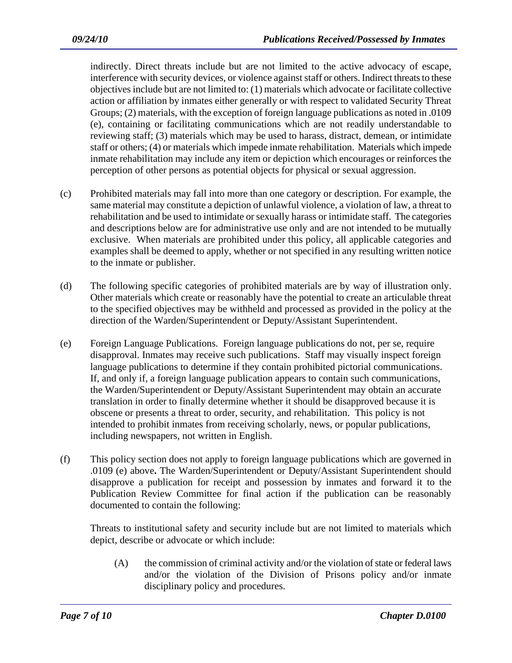indirectly. Direct threats include but are not limited to the active advocacy of escape, interference with security devices, or violence against staff or others. Indirect threats to these objectives include but are not limited to: (1) materials which advocate or facilitate collective action or affiliation by inmates either generally or with respect to validated Security Threat Groups; (2) materials, with the exception of foreign language publications as noted in .0109 (e), containing or facilitating communications which are not readily understandable to reviewing staff; (3) materials which may be used to harass, distract, demean, or intimidate staff or others; (4) or materials which impede inmate rehabilitation. Materials which impede inmate rehabilitation may include any item or depiction which encourages or reinforces the perception of other persons as potential objects for physical or sexual aggression.

- (c) Prohibited materials may fall into more than one category or description. For example, the same material may constitute a depiction of unlawful violence, a violation of law, a threat to rehabilitation and be used to intimidate or sexually harass or intimidate staff. The categories and descriptions below are for administrative use only and are not intended to be mutually exclusive. When materials are prohibited under this policy, all applicable categories and examples shall be deemed to apply, whether or not specified in any resulting written notice to the inmate or publisher.
- (d) The following specific categories of prohibited materials are by way of illustration only. Other materials which create or reasonably have the potential to create an articulable threat to the specified objectives may be withheld and processed as provided in the policy at the direction of the Warden/Superintendent or Deputy/Assistant Superintendent.
- (e) Foreign Language Publications. Foreign language publications do not, per se, require disapproval. Inmates may receive such publications. Staff may visually inspect foreign language publications to determine if they contain prohibited pictorial communications. If, and only if, a foreign language publication appears to contain such communications, the Warden/Superintendent or Deputy/Assistant Superintendent may obtain an accurate translation in order to finally determine whether it should be disapproved because it is obscene or presents a threat to order, security, and rehabilitation. This policy is not intended to prohibit inmates from receiving scholarly, news, or popular publications, including newspapers, not written in English.
- (f) This policy section does not apply to foreign language publications which are governed in .0109 (e) above**.** The Warden/Superintendent or Deputy/Assistant Superintendent should disapprove a publication for receipt and possession by inmates and forward it to the Publication Review Committee for final action if the publication can be reasonably documented to contain the following:

Threats to institutional safety and security include but are not limited to materials which depict, describe or advocate or which include:

(A) the commission of criminal activity and/or the violation of state or federal laws and/or the violation of the Division of Prisons policy and/or inmate disciplinary policy and procedures.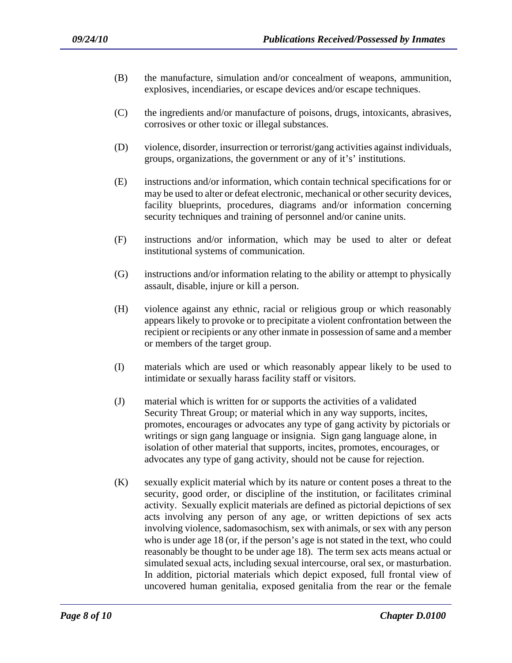- (B) the manufacture, simulation and/or concealment of weapons, ammunition, explosives, incendiaries, or escape devices and/or escape techniques.
- (C) the ingredients and/or manufacture of poisons, drugs, intoxicants, abrasives, corrosives or other toxic or illegal substances.
- (D) violence, disorder, insurrection or terrorist/gang activities against individuals, groups, organizations, the government or any of it's' institutions.
- (E) instructions and/or information, which contain technical specifications for or may be used to alter or defeat electronic, mechanical or other security devices, facility blueprints, procedures, diagrams and/or information concerning security techniques and training of personnel and/or canine units.
- (F) instructions and/or information, which may be used to alter or defeat institutional systems of communication.
- (G) instructions and/or information relating to the ability or attempt to physically assault, disable, injure or kill a person.
- (H) violence against any ethnic, racial or religious group or which reasonably appears likely to provoke or to precipitate a violent confrontation between the recipient or recipients or any other inmate in possession of same and a member or members of the target group.
- (I) materials which are used or which reasonably appear likely to be used to intimidate or sexually harass facility staff or visitors.
- (J) material which is written for or supports the activities of a validated Security Threat Group; or material which in any way supports, incites, promotes, encourages or advocates any type of gang activity by pictorials or writings or sign gang language or insignia. Sign gang language alone, in isolation of other material that supports, incites, promotes, encourages, or advocates any type of gang activity, should not be cause for rejection.
- (K) sexually explicit material which by its nature or content poses a threat to the security, good order, or discipline of the institution, or facilitates criminal activity. Sexually explicit materials are defined as pictorial depictions of sex acts involving any person of any age, or written depictions of sex acts involving violence, sadomasochism, sex with animals, or sex with any person who is under age 18 (or, if the person's age is not stated in the text, who could reasonably be thought to be under age 18). The term sex acts means actual or simulated sexual acts, including sexual intercourse, oral sex, or masturbation. In addition, pictorial materials which depict exposed, full frontal view of uncovered human genitalia, exposed genitalia from the rear or the female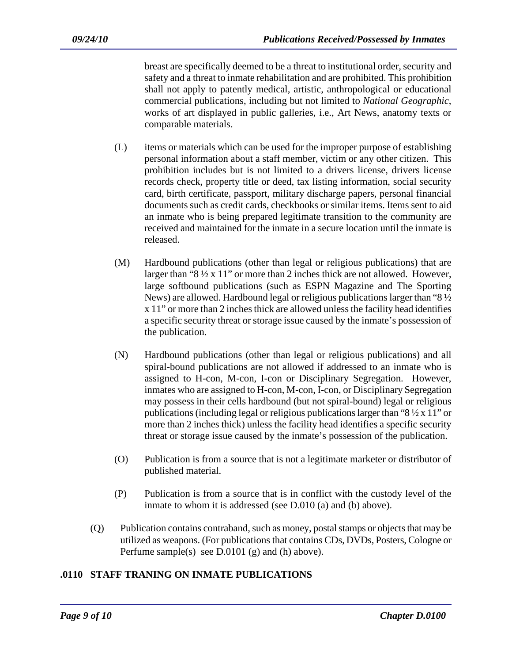breast are specifically deemed to be a threat to institutional order, security and safety and a threat to inmate rehabilitation and are prohibited. This prohibition shall not apply to patently medical, artistic, anthropological or educational commercial publications, including but not limited to *National Geographic*, works of art displayed in public galleries, i.e., Art News, anatomy texts or comparable materials.

- (L) items or materials which can be used for the improper purpose of establishing personal information about a staff member, victim or any other citizen. This prohibition includes but is not limited to a drivers license, drivers license records check, property title or deed, tax listing information, social security card, birth certificate, passport, military discharge papers, personal financial documents such as credit cards, checkbooks or similar items. Items sent to aid an inmate who is being prepared legitimate transition to the community are received and maintained for the inmate in a secure location until the inmate is released.
- (M) Hardbound publications (other than legal or religious publications) that are larger than "8 ½ x 11" or more than 2 inches thick are not allowed. However, large softbound publications (such as ESPN Magazine and The Sporting News) are allowed. Hardbound legal or religious publications larger than "8 ½ x 11" or more than 2 inches thick are allowed unless the facility head identifies a specific security threat or storage issue caused by the inmate's possession of the publication.
- (N) Hardbound publications (other than legal or religious publications) and all spiral-bound publications are not allowed if addressed to an inmate who is assigned to H-con, M-con, I-con or Disciplinary Segregation. However, inmates who are assigned to H-con, M-con, I-con, or Disciplinary Segregation may possess in their cells hardbound (but not spiral-bound) legal or religious publications (including legal or religious publications larger than " $8\frac{1}{2} \times 11$ " or more than 2 inches thick) unless the facility head identifies a specific security threat or storage issue caused by the inmate's possession of the publication.
- (O) Publication is from a source that is not a legitimate marketer or distributor of published material.
- (P) Publication is from a source that is in conflict with the custody level of the inmate to whom it is addressed (see D.010 (a) and (b) above).
- (Q) Publication contains contraband, such as money, postal stamps or objects that may be utilized as weapons. (For publications that contains CDs, DVDs, Posters, Cologne or Perfume sample(s) see D.0101 (g) and (h) above).

### **.0110 STAFF TRANING ON INMATE PUBLICATIONS**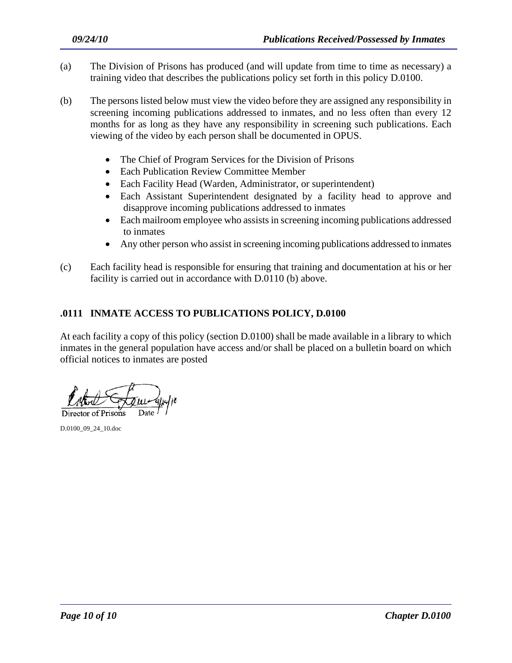- (a) The Division of Prisons has produced (and will update from time to time as necessary) a training video that describes the publications policy set forth in this policy D.0100.
- (b) The persons listed below must view the video before they are assigned any responsibility in screening incoming publications addressed to inmates, and no less often than every 12 months for as long as they have any responsibility in screening such publications. Each viewing of the video by each person shall be documented in OPUS.
	- The Chief of Program Services for the Division of Prisons
	- Each Publication Review Committee Member
	- Each Facility Head (Warden, Administrator, or superintendent)
	- Each Assistant Superintendent designated by a facility head to approve and disapprove incoming publications addressed to inmates
	- Each mailroom employee who assists in screening incoming publications addressed to inmates
	- Any other person who assist in screening incoming publications addressed to inmates
- (c) Each facility head is responsible for ensuring that training and documentation at his or her facility is carried out in accordance with D.0110 (b) above.

### **.0111 INMATE ACCESS TO PUBLICATIONS POLICY, D.0100**

At each facility a copy of this policy (section D.0100) shall be made available in a library to which inmates in the general population have access and/or shall be placed on a bulletin board on which official notices to inmates are posted

Director of Prisons

D.0100\_09\_24\_10.doc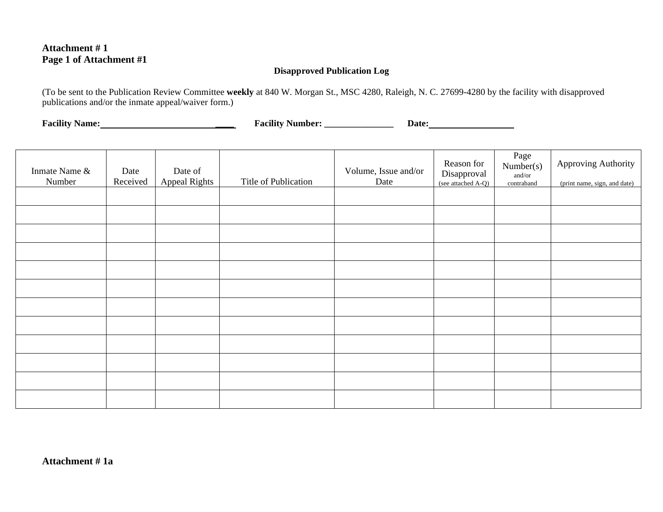### **Attachment # 1 Page 1 of Attachment #1**

#### **Disapproved Publication Log**

(To be sent to the Publication Review Committee **weekly** at 840 W. Morgan St., MSC 4280, Raleigh, N. C. 27699-4280 by the facility with disapproved publications and/or the inmate appeal/waiver form.)

**Facility Name: \_\_\_\_ Facility Number: \_\_\_\_\_\_\_\_\_\_\_\_\_\_\_ Date:** 

| Inmate Name &<br>Number | Date<br>Received | Date of<br><b>Appeal Rights</b> | Title of Publication | Volume, Issue and/or<br>Date | Reason for<br>Disapproval<br>(see attached A-Q) | Page<br>Number(s)<br>and/or<br>contraband | Approving Authority<br>(print name, sign, and date) |
|-------------------------|------------------|---------------------------------|----------------------|------------------------------|-------------------------------------------------|-------------------------------------------|-----------------------------------------------------|
|                         |                  |                                 |                      |                              |                                                 |                                           |                                                     |
|                         |                  |                                 |                      |                              |                                                 |                                           |                                                     |
|                         |                  |                                 |                      |                              |                                                 |                                           |                                                     |
|                         |                  |                                 |                      |                              |                                                 |                                           |                                                     |
|                         |                  |                                 |                      |                              |                                                 |                                           |                                                     |
|                         |                  |                                 |                      |                              |                                                 |                                           |                                                     |
|                         |                  |                                 |                      |                              |                                                 |                                           |                                                     |
|                         |                  |                                 |                      |                              |                                                 |                                           |                                                     |
|                         |                  |                                 |                      |                              |                                                 |                                           |                                                     |
|                         |                  |                                 |                      |                              |                                                 |                                           |                                                     |
|                         |                  |                                 |                      |                              |                                                 |                                           |                                                     |
|                         |                  |                                 |                      |                              |                                                 |                                           |                                                     |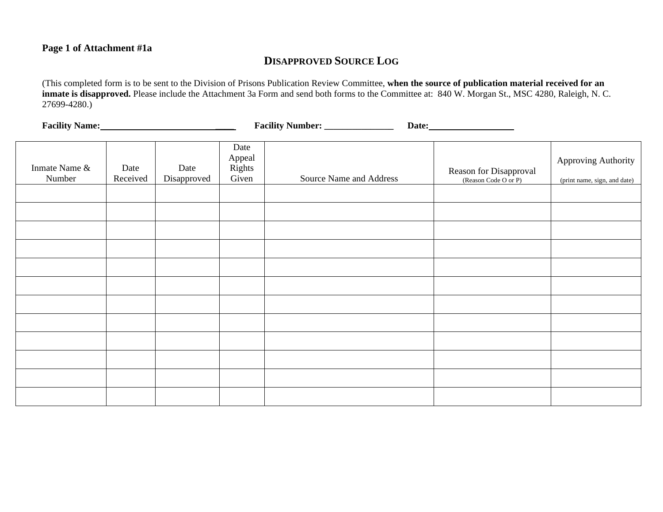### **Page 1 of Attachment #1a**

# **DISAPPROVED SOURCE LOG**

(This completed form is to be sent to the Division of Prisons Publication Review Committee, **when the source of publication material received for an inmate is disapproved.** Please include the Attachment 3a Form and send both forms to the Committee at: 840 W. Morgan St., MSC 4280, Raleigh, N. C. 27699-4280.)

Facility Name: Name: Name: Name: Name: Name: Name: Name: Name: Name: Name: Name: Name: Name: Name: Name: Name: Name: Name: Name: Name: Name: Name: Name: Name: Name: Name: Name: Name: Name: Name: Name: Name: Name: Name: Nam

| Inmate Name &<br>Number | Date<br>Received | Date<br>Disapproved | Date<br>Appeal<br>Rights<br>Given | Source Name and Address | Reason for Disapproval<br>(Reason Code O or P) | Approving Authority<br>(print name, sign, and date) |
|-------------------------|------------------|---------------------|-----------------------------------|-------------------------|------------------------------------------------|-----------------------------------------------------|
|                         |                  |                     |                                   |                         |                                                |                                                     |
|                         |                  |                     |                                   |                         |                                                |                                                     |
|                         |                  |                     |                                   |                         |                                                |                                                     |
|                         |                  |                     |                                   |                         |                                                |                                                     |
|                         |                  |                     |                                   |                         |                                                |                                                     |
|                         |                  |                     |                                   |                         |                                                |                                                     |
|                         |                  |                     |                                   |                         |                                                |                                                     |
|                         |                  |                     |                                   |                         |                                                |                                                     |
|                         |                  |                     |                                   |                         |                                                |                                                     |
|                         |                  |                     |                                   |                         |                                                |                                                     |
|                         |                  |                     |                                   |                         |                                                |                                                     |
|                         |                  |                     |                                   |                         |                                                |                                                     |
|                         |                  |                     |                                   |                         |                                                |                                                     |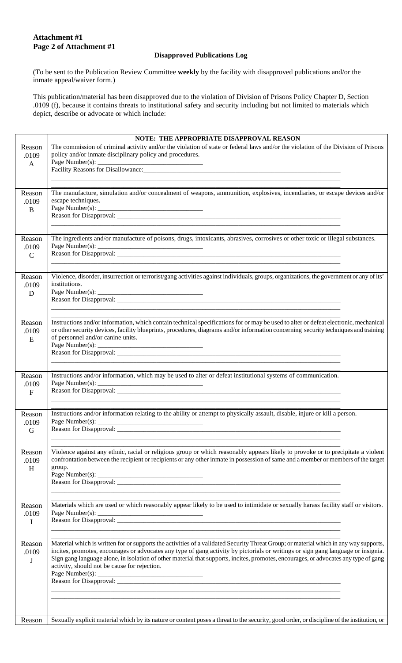## **Attachment #1 Page 2 of Attachment #1**

### **Disapproved Publications Log**

(To be sent to the Publication Review Committee **weekly** by the facility with disapproved publications and/or the inmate appeal/waiver form.)

This publication/material has been disapproved due to the violation of Division of Prisons Policy Chapter D, Section .0109 (f), because it contains threats to institutional safety and security including but not limited to materials which depict, describe or advocate or which include:

|                                  | NOTE: THE APPROPRIATE DISAPPROVAL REASON                                                                                                                                                                                                                                                                                                                                                                                                                           |
|----------------------------------|--------------------------------------------------------------------------------------------------------------------------------------------------------------------------------------------------------------------------------------------------------------------------------------------------------------------------------------------------------------------------------------------------------------------------------------------------------------------|
| Reason<br>.0109<br>$\mathbf{A}$  | The commission of criminal activity and/or the violation of state or federal laws and/or the violation of the Division of Prisons<br>policy and/or inmate disciplinary policy and procedures.<br>Page Number(s): $\overline{\phantom{a}}$                                                                                                                                                                                                                          |
| Reason<br>.0109<br>B             | The manufacture, simulation and/or concealment of weapons, ammunition, explosives, incendiaries, or escape devices and/or<br>escape techniques.<br>Page Number(s): $\overline{\phantom{a}}$<br><u> 2000 - Jan James James James James James James James James James James James James James James James James Ja</u>                                                                                                                                               |
| Reason<br>.0109<br>$\mathcal{C}$ | The ingredients and/or manufacture of poisons, drugs, intoxicants, abrasives, corrosives or other toxic or illegal substances.                                                                                                                                                                                                                                                                                                                                     |
| Reason<br>.0109<br>D             | Violence, disorder, insurrection or terrorist/gang activities against individuals, groups, organizations, the government or any of its'<br>institutions.                                                                                                                                                                                                                                                                                                           |
| Reason<br>.0109<br>E             | Instructions and/or information, which contain technical specifications for or may be used to alter or defeat electronic, mechanical<br>or other security devices, facility blueprints, procedures, diagrams and/or information concerning security techniques and training<br>of personnel and/or canine units.                                                                                                                                                   |
| Reason<br>.0109<br>$\mathbf{F}$  | Instructions and/or information, which may be used to alter or defeat institutional systems of communication.<br>Page Number(s):                                                                                                                                                                                                                                                                                                                                   |
| Reason<br>.0109<br>G             | Instructions and/or information relating to the ability or attempt to physically assault, disable, injure or kill a person.                                                                                                                                                                                                                                                                                                                                        |
| Reason<br>.0109<br>H             | Violence against any ethnic, racial or religious group or which reasonably appears likely to provoke or to precipitate a violent<br>confrontation between the recipient or recipients or any other inmate in possession of same and a member or members of the target<br>group.                                                                                                                                                                                    |
| Reason<br>.0109<br>$\mathbf I$   | Materials which are used or which reasonably appear likely to be used to intimidate or sexually harass facility staff or visitors.<br>Page Number(s): $\overline{\phantom{a}}$                                                                                                                                                                                                                                                                                     |
| Reason<br>.0109<br>J             | Material which is written for or supports the activities of a validated Security Threat Group; or material which in any way supports,<br>incites, promotes, encourages or advocates any type of gang activity by pictorials or writings or sign gang language or insignia.<br>Sign gang language alone, in isolation of other material that supports, incites, promotes, encourages, or advocates any type of gang<br>activity, should not be cause for rejection. |
| Reason                           | Sexually explicit material which by its nature or content poses a threat to the security, good order, or discipline of the institution, or                                                                                                                                                                                                                                                                                                                         |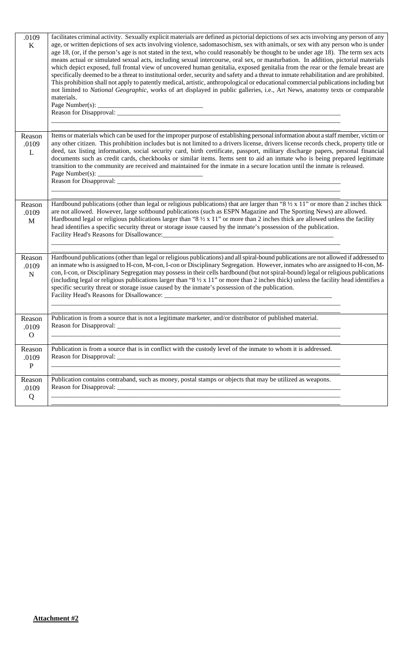| .0109<br>$\bf K$                | facilitates criminal activity. Sexually explicit materials are defined as pictorial depictions of sex acts involving any person of any<br>age, or written depictions of sex acts involving violence, sadomasochism, sex with animals, or sex with any person who is under<br>age 18, (or, if the person's age is not stated in the text, who could reasonably be thought to be under age 18). The term sex acts<br>means actual or simulated sexual acts, including sexual intercourse, oral sex, or masturbation. In addition, pictorial materials<br>which depict exposed, full frontal view of uncovered human genitalia, exposed genitalia from the rear or the female breast are<br>specifically deemed to be a threat to institutional order, security and safety and a threat to inmate rehabilitation and are prohibited.<br>This prohibition shall not apply to patently medical, artistic, anthropological or educational commercial publications including but<br>not limited to National Geographic, works of art displayed in public galleries, i.e., Art News, anatomy texts or comparable<br>materials. |
|---------------------------------|------------------------------------------------------------------------------------------------------------------------------------------------------------------------------------------------------------------------------------------------------------------------------------------------------------------------------------------------------------------------------------------------------------------------------------------------------------------------------------------------------------------------------------------------------------------------------------------------------------------------------------------------------------------------------------------------------------------------------------------------------------------------------------------------------------------------------------------------------------------------------------------------------------------------------------------------------------------------------------------------------------------------------------------------------------------------------------------------------------------------|
| Reason<br>.0109<br>L            | Items or materials which can be used for the improper purpose of establishing personal information about a staff member, victim or<br>any other citizen. This prohibition includes but is not limited to a drivers license, drivers license records check, property title or<br>deed, tax listing information, social security card, birth certificate, passport, military discharge papers, personal financial<br>documents such as credit cards, checkbooks or similar items. Items sent to aid an inmate who is being prepared legitimate<br>transition to the community are received and maintained for the inmate in a secure location until the inmate is released.                                                                                                                                                                                                                                                                                                                                                                                                                                              |
| Reason<br>.0109<br>M            | Hardbound publications (other than legal or religious publications) that are larger than " $8\frac{1}{2} \times 11$ " or more than 2 inches thick<br>are not allowed. However, large softbound publications (such as ESPN Magazine and The Sporting News) are allowed.<br>Hardbound legal or religious publications larger than "8 $\frac{1}{2} \times 11$ " or more than 2 inches thick are allowed unless the facility<br>head identifies a specific security threat or storage issue caused by the inmate's possession of the publication.                                                                                                                                                                                                                                                                                                                                                                                                                                                                                                                                                                          |
| Reason<br>.0109<br>$\mathbf N$  | Hardbound publications (other than legal or religious publications) and all spiral-bound publications are not allowed if addressed to<br>an inmate who is assigned to H-con, M-con, I-con or Disciplinary Segregation. However, inmates who are assigned to H-con, M-<br>con, I-con, or Disciplinary Segregation may possess in their cells hardbound (but not spiral-bound) legal or religious publications<br>(including legal or religious publications larger than "8 $\frac{1}{2}$ x 11" or more than 2 inches thick) unless the facility head identifies a<br>specific security threat or storage issue caused by the inmate's possession of the publication.                                                                                                                                                                                                                                                                                                                                                                                                                                                    |
| Reason<br>.0109<br>$\mathbf{O}$ | Publication is from a source that is not a legitimate marketer, and/or distributor of published material.<br>Reason for Disapproval:                                                                                                                                                                                                                                                                                                                                                                                                                                                                                                                                                                                                                                                                                                                                                                                                                                                                                                                                                                                   |
| Reason<br>.0109<br>${\bf P}$    | Publication is from a source that is in conflict with the custody level of the inmate to whom it is addressed.                                                                                                                                                                                                                                                                                                                                                                                                                                                                                                                                                                                                                                                                                                                                                                                                                                                                                                                                                                                                         |
| Reason<br>.0109<br>Q            | Publication contains contraband, such as money, postal stamps or objects that may be utilized as weapons.                                                                                                                                                                                                                                                                                                                                                                                                                                                                                                                                                                                                                                                                                                                                                                                                                                                                                                                                                                                                              |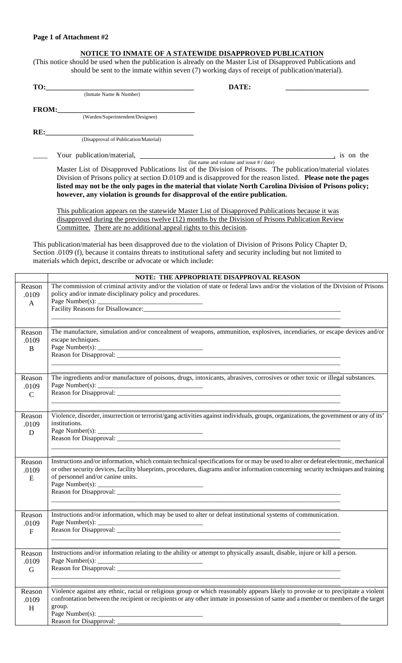#### **Page 1 of Attachment #2**

### **NOTICE TO INMATE OF A STATEWIDE DISAPPROVED PUBLICATION**

(This notice should be used when the publication is already on the Master List of Disapproved Publications and should be sent to the inmate within seven (7) working days of receipt of publication/material).

| TO:          |                                                                                                              | DATE:                                        |           |
|--------------|--------------------------------------------------------------------------------------------------------------|----------------------------------------------|-----------|
|              | (Inmate Name & Number)                                                                                       |                                              |           |
| <b>FROM:</b> |                                                                                                              |                                              |           |
|              | (Warden/Superintendent/Designee)                                                                             |                                              |           |
| RE:          |                                                                                                              |                                              |           |
|              | (Disapproval of Publication/Material)                                                                        |                                              |           |
|              | Your publication/material,                                                                                   |                                              | is on the |
|              |                                                                                                              | (list name and volume and issue $\#$ / date) |           |
|              | Master List of Disapproved Publications list of the Division of Prisons. The publication/material violates   |                                              |           |
|              | Division of Prisons policy at section D.0109 and is disapproved for the reason listed. Please note the pages |                                              |           |

**listed may not be the only pages in the material that violate North Carolina Division of Prisons policy; however, any violation is grounds for disapproval of the entire publication.** 

This publication appears on the statewide Master List of Disapproved Publications because it was disapproved during the previous twelve (12) months by the Division of Prisons Publication Review Committee. There are no additional appeal rights to this decision.

This publication/material has been disapproved due to the violation of Division of Prisons Policy Chapter D, Section .0109 (f), because it contains threats to institutional safety and security including but not limited to materials which depict, describe or advocate or which include:

|                                 | NOTE: THE APPROPRIATE DISAPPROVAL REASON                                                                                                                                                                                                                                                                                                                                                                                          |
|---------------------------------|-----------------------------------------------------------------------------------------------------------------------------------------------------------------------------------------------------------------------------------------------------------------------------------------------------------------------------------------------------------------------------------------------------------------------------------|
| Reason<br>.0109<br>A            | The commission of criminal activity and/or the violation of state or federal laws and/or the violation of the Division of Prisons<br>policy and/or inmate disciplinary policy and procedures.<br>Page Number(s):                                                                                                                                                                                                                  |
| Reason<br>.0109<br>$\mathbf{B}$ | The manufacture, simulation and/or concealment of weapons, ammunition, explosives, incendiaries, or escape devices and/or<br>escape techniques.                                                                                                                                                                                                                                                                                   |
| Reason<br>.0109<br>$\mathbf C$  | The ingredients and/or manufacture of poisons, drugs, intoxicants, abrasives, corrosives or other toxic or illegal substances.<br>Page Number(s): $\overline{\phantom{a}}$                                                                                                                                                                                                                                                        |
| Reason<br>.0109<br>D            | Violence, disorder, insurrection or terrorist/gang activities against individuals, groups, organizations, the government or any of its'<br>institutions.                                                                                                                                                                                                                                                                          |
| Reason<br>.0109<br>E            | Instructions and/or information, which contain technical specifications for or may be used to alter or defeat electronic, mechanical<br>or other security devices, facility blueprints, procedures, diagrams and/or information concerning security techniques and training<br>of personnel and/or canine units.                                                                                                                  |
| Reason<br>.0109<br>$\mathbf{F}$ | Instructions and/or information, which may be used to alter or defeat institutional systems of communication.<br>Page Number(s):                                                                                                                                                                                                                                                                                                  |
| Reason<br>.0109<br>G            | Instructions and/or information relating to the ability or attempt to physically assault, disable, injure or kill a person.<br>Page Number(s): $\frac{1}{2}$ Mumber(s): $\frac{1}{2}$ Mumber(s): $\frac{1}{2}$ Mumber(s): $\frac{1}{2}$ Mumber(s): $\frac{1}{2}$ Mumber(s): $\frac{1}{2}$ Mumber(s): $\frac{1}{2}$ Mumber(s): $\frac{1}{2}$ Mumber(s): $\frac{1}{2}$ Mumber(s): $\frac{1}{2}$ Mumber<br>Reason for Disapproval: _ |
| Reason<br>.0109<br>H            | Violence against any ethnic, racial or religious group or which reasonably appears likely to provoke or to precipitate a violent<br>confrontation between the recipient or recipients or any other inmate in possession of same and a member or members of the target<br>group.<br>Page Number(s): $\_\_$<br>Reason for Disapproval:                                                                                              |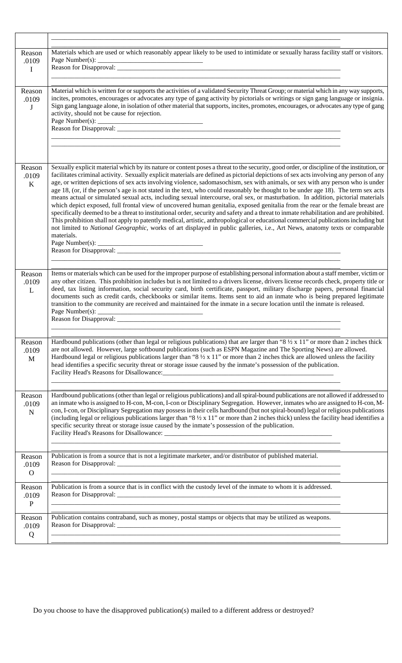| Reason<br>.0109<br>$\mathbf I$    | Materials which are used or which reasonably appear likely to be used to intimidate or sexually harass facility staff or visitors.                                                                                                                                                                                                                                                                                                                                                                                                                                                                                                                                                                                                                                                                                                                                                                                                                                                                                                                                                                                                                                                                                                                                   |
|-----------------------------------|----------------------------------------------------------------------------------------------------------------------------------------------------------------------------------------------------------------------------------------------------------------------------------------------------------------------------------------------------------------------------------------------------------------------------------------------------------------------------------------------------------------------------------------------------------------------------------------------------------------------------------------------------------------------------------------------------------------------------------------------------------------------------------------------------------------------------------------------------------------------------------------------------------------------------------------------------------------------------------------------------------------------------------------------------------------------------------------------------------------------------------------------------------------------------------------------------------------------------------------------------------------------|
| Reason<br>.0109<br>$\bf J$        | Material which is written for or supports the activities of a validated Security Threat Group; or material which in any way supports,<br>incites, promotes, encourages or advocates any type of gang activity by pictorials or writings or sign gang language or insignia.<br>Sign gang language alone, in isolation of other material that supports, incites, promotes, encourages, or advocates any type of gang<br>activity, should not be cause for rejection.                                                                                                                                                                                                                                                                                                                                                                                                                                                                                                                                                                                                                                                                                                                                                                                                   |
| Reason<br>.0109<br>$\bf K$        | Sexually explicit material which by its nature or content poses a threat to the security, good order, or discipline of the institution, or<br>facilitates criminal activity. Sexually explicit materials are defined as pictorial depictions of sex acts involving any person of any<br>age, or written depictions of sex acts involving violence, sadomasochism, sex with animals, or sex with any person who is under<br>age 18, (or, if the person's age is not stated in the text, who could reasonably be thought to be under age 18). The term sex acts<br>means actual or simulated sexual acts, including sexual intercourse, oral sex, or masturbation. In addition, pictorial materials<br>which depict exposed, full frontal view of uncovered human genitalia, exposed genitalia from the rear or the female breast are<br>specifically deemed to be a threat to institutional order, security and safety and a threat to inmate rehabilitation and are prohibited.<br>This prohibition shall not apply to patently medical, artistic, anthropological or educational commercial publications including but<br>not limited to National Geographic, works of art displayed in public galleries, i.e., Art News, anatomy texts or comparable<br>materials. |
| Reason<br>.0109<br>L              | Items or materials which can be used for the improper purpose of establishing personal information about a staff member, victim or<br>any other citizen. This prohibition includes but is not limited to a drivers license, drivers license records check, property title or<br>deed, tax listing information, social security card, birth certificate, passport, military discharge papers, personal financial<br>documents such as credit cards, checkbooks or similar items. Items sent to aid an inmate who is being prepared legitimate<br>transition to the community are received and maintained for the inmate in a secure location until the inmate is released.                                                                                                                                                                                                                                                                                                                                                                                                                                                                                                                                                                                            |
| Reason<br>.0109<br>$\mathbf{M}$   | Hardbound publications (other than legal or religious publications) that are larger than " $8\frac{1}{2} \times 11$ " or more than 2 inches thick<br>are not allowed. However, large softbound publications (such as ESPN Magazine and The Sporting News) are allowed.<br>Hardbound legal or religious publications larger than "8 $\frac{1}{2}$ x 11" or more than 2 inches thick are allowed unless the facility<br>head identifies a specific security threat or storage issue caused by the inmate's possession of the publication.                                                                                                                                                                                                                                                                                                                                                                                                                                                                                                                                                                                                                                                                                                                              |
| Reason<br>.0109<br>$\mathbf N$    | Hardbound publications (other than legal or religious publications) and all spiral-bound publications are not allowed if addressed to<br>an inmate who is assigned to H-con, M-con, I-con or Disciplinary Segregation. However, inmates who are assigned to H-con, M-<br>con, I-con, or Disciplinary Segregation may possess in their cells hardbound (but not spiral-bound) legal or religious publications<br>(including legal or religious publications larger than " $8\frac{1}{2} \times 11$ " or more than 2 inches thick) unless the facility head identifies a<br>specific security threat or storage issue caused by the inmate's possession of the publication.                                                                                                                                                                                                                                                                                                                                                                                                                                                                                                                                                                                            |
| Reason<br>.0109<br>$\overline{O}$ | Publication is from a source that is not a legitimate marketer, and/or distributor of published material.                                                                                                                                                                                                                                                                                                                                                                                                                                                                                                                                                                                                                                                                                                                                                                                                                                                                                                                                                                                                                                                                                                                                                            |
| Reason<br>.0109<br>${\bf P}$      | Publication is from a source that is in conflict with the custody level of the inmate to whom it is addressed.                                                                                                                                                                                                                                                                                                                                                                                                                                                                                                                                                                                                                                                                                                                                                                                                                                                                                                                                                                                                                                                                                                                                                       |
| Reason<br>.0109<br>Q              | Publication contains contraband, such as money, postal stamps or objects that may be utilized as weapons.                                                                                                                                                                                                                                                                                                                                                                                                                                                                                                                                                                                                                                                                                                                                                                                                                                                                                                                                                                                                                                                                                                                                                            |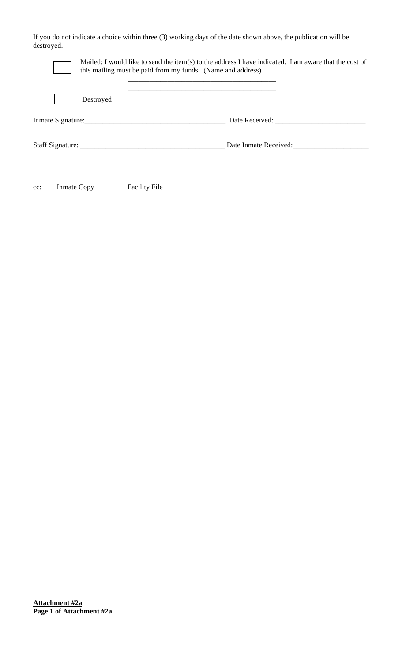If you do not indicate a choice within three (3) working days of the date shown above, the publication will be destroyed.

|           | Mailed: I would like to send the item(s) to the address I have indicated. I am aware that the cost of<br>this mailing must be paid from my funds. (Name and address) |                |
|-----------|----------------------------------------------------------------------------------------------------------------------------------------------------------------------|----------------|
| Destroyed |                                                                                                                                                                      |                |
|           |                                                                                                                                                                      | Date Received: |
|           | Date Inmate Received:                                                                                                                                                |                |
|           |                                                                                                                                                                      |                |

cc: Inmate Copy Facility File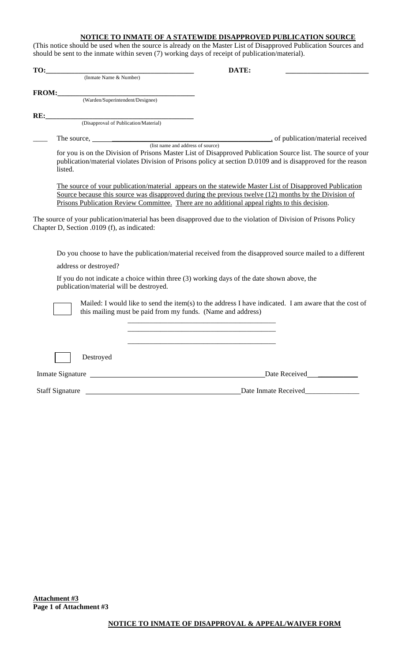# **NOTICE TO INMATE OF A STATEWIDE DISAPPROVED PUBLICATION SOURCE**

(This notice should be used when the source is already on the Master List of Disapproved Publication Sources and should be sent to the inmate within seven (7) working days of receipt of publication/material).

| TO:                                         | DATE:                                                                                                                                                                                                                                                                                                            |
|---------------------------------------------|------------------------------------------------------------------------------------------------------------------------------------------------------------------------------------------------------------------------------------------------------------------------------------------------------------------|
| (Inmate Name & Number)                      |                                                                                                                                                                                                                                                                                                                  |
| FROM:                                       |                                                                                                                                                                                                                                                                                                                  |
| (Warden/Superintendent/Designee)            |                                                                                                                                                                                                                                                                                                                  |
| RE:                                         |                                                                                                                                                                                                                                                                                                                  |
| (Disapproval of Publication/Material)       |                                                                                                                                                                                                                                                                                                                  |
|                                             |                                                                                                                                                                                                                                                                                                                  |
| listed.                                     | for you is on the Division of Prisons Master List of Disapproved Publication Source list. The source of your<br>publication/material violates Division of Prisons policy at section D.0109 and is disapproved for the reason                                                                                     |
|                                             | The source of your publication/material appears on the statewide Master List of Disapproved Publication<br>Source because this source was disapproved during the previous twelve (12) months by the Division of<br>Prisons Publication Review Committee. There are no additional appeal rights to this decision. |
| Chapter D, Section .0109 (f), as indicated: | The source of your publication/material has been disapproved due to the violation of Division of Prisons Policy                                                                                                                                                                                                  |
| address or destroyed?                       | Do you choose to have the publication/material received from the disapproved source mailed to a different                                                                                                                                                                                                        |
| publication/material will be destroyed.     | If you do not indicate a choice within three (3) working days of the date shown above, the                                                                                                                                                                                                                       |
|                                             | Mailed: I would like to send the item(s) to the address I have indicated. I am aware that the cost of<br>this mailing must be paid from my funds. (Name and address)                                                                                                                                             |
|                                             |                                                                                                                                                                                                                                                                                                                  |
| Destroyed                                   |                                                                                                                                                                                                                                                                                                                  |
| Inmate Signature                            | Date Received<br><u>Letter</u> <sub>1</sub>                                                                                                                                                                                                                                                                      |
|                                             |                                                                                                                                                                                                                                                                                                                  |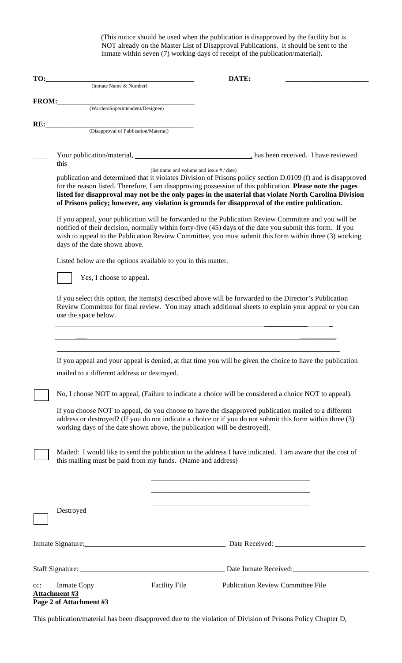(This notice should be used when the publication is disapproved by the facility but is NOT already on the Master List of Disapproval Publications. It should be sent to the inmate within seven (7) working days of receipt of the publication/material).

| TO:    |                                                                           |                                             | DATE:                                                                                                                                                                                                                                                                                                                                                                                                                                 |
|--------|---------------------------------------------------------------------------|---------------------------------------------|---------------------------------------------------------------------------------------------------------------------------------------------------------------------------------------------------------------------------------------------------------------------------------------------------------------------------------------------------------------------------------------------------------------------------------------|
|        | (Inmate Name & Number)                                                    |                                             |                                                                                                                                                                                                                                                                                                                                                                                                                                       |
| FROM:  |                                                                           |                                             |                                                                                                                                                                                                                                                                                                                                                                                                                                       |
|        | (Warden/Superintendent/Designee)                                          |                                             |                                                                                                                                                                                                                                                                                                                                                                                                                                       |
| RE:    |                                                                           |                                             |                                                                                                                                                                                                                                                                                                                                                                                                                                       |
|        | (Disapproval of Publication/Material)                                     |                                             |                                                                                                                                                                                                                                                                                                                                                                                                                                       |
|        |                                                                           |                                             |                                                                                                                                                                                                                                                                                                                                                                                                                                       |
|        | this                                                                      |                                             |                                                                                                                                                                                                                                                                                                                                                                                                                                       |
|        |                                                                           | (list name and volume and issue $# /$ date) | publication and determined that it violates Division of Prisons policy section D.0109 (f) and is disapproved<br>for the reason listed. Therefore, I am disapproving possession of this publication. Please note the pages<br>listed for disapproval may not be the only pages in the material that violate North Carolina Division<br>of Prisons policy; however, any violation is grounds for disapproval of the entire publication. |
|        | days of the date shown above.                                             |                                             | If you appeal, your publication will be forwarded to the Publication Review Committee and you will be<br>notified of their decision, normally within forty-five (45) days of the date you submit this form. If you<br>wish to appeal to the Publication Review Committee, you must submit this form within three (3) working                                                                                                          |
|        | Listed below are the options available to you in this matter.             |                                             |                                                                                                                                                                                                                                                                                                                                                                                                                                       |
|        | Yes, I choose to appeal.                                                  |                                             |                                                                                                                                                                                                                                                                                                                                                                                                                                       |
|        | use the space below.                                                      |                                             | If you select this option, the items(s) described above will be forwarded to the Director's Publication<br>Review Committee for final review. You may attach additional sheets to explain your appeal or you can                                                                                                                                                                                                                      |
|        | mailed to a different address or destroyed.                               |                                             | If you appeal and your appeal is denied, at that time you will be given the choice to have the publication<br>No, I choose NOT to appeal, (Failure to indicate a choice will be considered a choice NOT to appeal).                                                                                                                                                                                                                   |
|        | working days of the date shown above, the publication will be destroyed). |                                             | If you choose NOT to appeal, do you choose to have the disapproved publication mailed to a different<br>address or destroyed? (If you do not indicate a choice or if you do not submit this form within three (3)                                                                                                                                                                                                                     |
|        | this mailing must be paid from my funds. (Name and address)               |                                             | Mailed: I would like to send the publication to the address I have indicated. I am aware that the cost of                                                                                                                                                                                                                                                                                                                             |
|        | Destroyed                                                                 |                                             | <u> 1989 - Johann Barbara, martxa al III-lea (h. 1989).</u>                                                                                                                                                                                                                                                                                                                                                                           |
|        |                                                                           |                                             |                                                                                                                                                                                                                                                                                                                                                                                                                                       |
|        |                                                                           |                                             | Date Inmate Received:                                                                                                                                                                                                                                                                                                                                                                                                                 |
| $cc$ : | <b>Inmate Copy</b><br>Attachment #3<br>Page 2 of Attachment #3            | <b>Facility File</b>                        | <b>Publication Review Committee File</b>                                                                                                                                                                                                                                                                                                                                                                                              |

This publication/material has been disapproved due to the violation of Division of Prisons Policy Chapter D,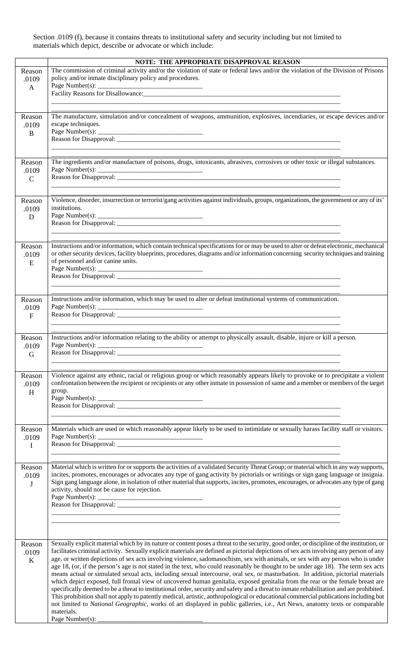Section .0109 (f), because it contains threats to institutional safety and security including but not limited to materials which depict, describe or advocate or which include:

|                                 | NOTE: THE APPROPRIATE DISAPPROVAL REASON                                                                                                                                                                                                                                                                                                                                                                                                                                                                                                                                                                                                                                                          |
|---------------------------------|---------------------------------------------------------------------------------------------------------------------------------------------------------------------------------------------------------------------------------------------------------------------------------------------------------------------------------------------------------------------------------------------------------------------------------------------------------------------------------------------------------------------------------------------------------------------------------------------------------------------------------------------------------------------------------------------------|
| Reason<br>.0109<br>$\mathbf{A}$ | The commission of criminal activity and/or the violation of state or federal laws and/or the violation of the Division of Prisons<br>policy and/or inmate disciplinary policy and procedures.<br>Page Number(s): $\overline{\phantom{a}}$                                                                                                                                                                                                                                                                                                                                                                                                                                                         |
|                                 |                                                                                                                                                                                                                                                                                                                                                                                                                                                                                                                                                                                                                                                                                                   |
| Reason<br>.0109<br>$\bf{B}$     | The manufacture, simulation and/or concealment of weapons, ammunition, explosives, incendiaries, or escape devices and/or<br>escape techniques.                                                                                                                                                                                                                                                                                                                                                                                                                                                                                                                                                   |
| Reason                          | The ingredients and/or manufacture of poisons, drugs, intoxicants, abrasives, corrosives or other toxic or illegal substances.                                                                                                                                                                                                                                                                                                                                                                                                                                                                                                                                                                    |
| .0109<br>$\mathbf C$            |                                                                                                                                                                                                                                                                                                                                                                                                                                                                                                                                                                                                                                                                                                   |
| Reason<br>.0109<br>D            | Violence, disorder, insurrection or terrorist/gang activities against individuals, groups, organizations, the government or any of its'<br>institutions.                                                                                                                                                                                                                                                                                                                                                                                                                                                                                                                                          |
|                                 |                                                                                                                                                                                                                                                                                                                                                                                                                                                                                                                                                                                                                                                                                                   |
| Reason<br>.0109<br>E            | Instructions and/or information, which contain technical specifications for or may be used to alter or defeat electronic, mechanical<br>or other security devices, facility blueprints, procedures, diagrams and/or information concerning security techniques and training<br>of personnel and/or canine units.                                                                                                                                                                                                                                                                                                                                                                                  |
| Reason                          | Instructions and/or information, which may be used to alter or defeat institutional systems of communication.                                                                                                                                                                                                                                                                                                                                                                                                                                                                                                                                                                                     |
| .0109<br>$\mathbf F$            | Page Number(s):                                                                                                                                                                                                                                                                                                                                                                                                                                                                                                                                                                                                                                                                                   |
| Reason                          | Instructions and/or information relating to the ability or attempt to physically assault, disable, injure or kill a person.                                                                                                                                                                                                                                                                                                                                                                                                                                                                                                                                                                       |
| .0109<br>${\bf G}$              | Page Number(s): $\overline{\phantom{a}}$                                                                                                                                                                                                                                                                                                                                                                                                                                                                                                                                                                                                                                                          |
|                                 |                                                                                                                                                                                                                                                                                                                                                                                                                                                                                                                                                                                                                                                                                                   |
| Reason<br>.0109<br>H            | Violence against any ethnic, racial or religious group or which reasonably appears likely to provoke or to precipitate a violent<br>confrontation between the recipient or recipients or any other inmate in possession of same and a member or members of the target<br>group.                                                                                                                                                                                                                                                                                                                                                                                                                   |
|                                 |                                                                                                                                                                                                                                                                                                                                                                                                                                                                                                                                                                                                                                                                                                   |
| Reason<br>.0109<br>I            | Materials which are used or which reasonably appear likely to be used to intimidate or sexually harass facility staff or visitors.<br>Page Number(s): $\overline{\phantom{a}}$                                                                                                                                                                                                                                                                                                                                                                                                                                                                                                                    |
| Reason<br>.0109<br>$\bf J$      | Material which is written for or supports the activities of a validated Security Threat Group; or material which in any way supports,<br>incites, promotes, encourages or advocates any type of gang activity by pictorials or writings or sign gang language or insignia.<br>Sign gang language alone, in isolation of other material that supports, incites, promotes, encourages, or advocates any type of gang<br>activity, should not be cause for rejection.                                                                                                                                                                                                                                |
| Reason<br>.0109<br>$\bf K$      | Sexually explicit material which by its nature or content poses a threat to the security, good order, or discipline of the institution, or<br>facilitates criminal activity. Sexually explicit materials are defined as pictorial depictions of sex acts involving any person of any<br>age, or written depictions of sex acts involving violence, sadomasochism, sex with animals, or sex with any person who is under<br>age 18, (or, if the person's age is not stated in the text, who could reasonably be thought to be under age 18). The term sex acts<br>means actual or simulated sexual acts, including sexual intercourse, oral sex, or masturbation. In addition, pictorial materials |
|                                 | which depict exposed, full frontal view of uncovered human genitalia, exposed genitalia from the rear or the female breast are<br>specifically deemed to be a threat to institutional order, security and safety and a threat to inmate rehabilitation and are prohibited.<br>This prohibition shall not apply to patently medical, artistic, anthropological or educational commercial publications including but<br>not limited to National Geographic, works of art displayed in public galleries, i.e., Art News, anatomy texts or comparable<br>materials.                                                                                                                                   |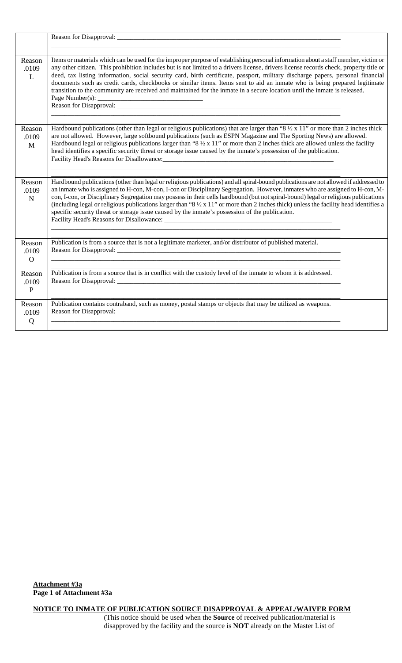| Reason<br>.0109<br>L            | Items or materials which can be used for the improper purpose of establishing personal information about a staff member, victim or<br>any other citizen. This prohibition includes but is not limited to a drivers license, drivers license records check, property title or<br>deed, tax listing information, social security card, birth certificate, passport, military discharge papers, personal financial<br>documents such as credit cards, checkbooks or similar items. Items sent to aid an inmate who is being prepared legitimate<br>transition to the community are received and maintained for the inmate in a secure location until the inmate is released. |  |
|---------------------------------|---------------------------------------------------------------------------------------------------------------------------------------------------------------------------------------------------------------------------------------------------------------------------------------------------------------------------------------------------------------------------------------------------------------------------------------------------------------------------------------------------------------------------------------------------------------------------------------------------------------------------------------------------------------------------|--|
| Reason<br>.0109<br>M            | Hardbound publications (other than legal or religious publications) that are larger than "8 $\frac{1}{2}$ x 11" or more than 2 inches thick<br>are not allowed. However, large softbound publications (such as ESPN Magazine and The Sporting News) are allowed.<br>Hardbound legal or religious publications larger than "8 $\frac{1}{2} \times 11$ " or more than 2 inches thick are allowed unless the facility<br>head identifies a specific security threat or storage issue caused by the inmate's possession of the publication.                                                                                                                                   |  |
| Reason<br>.0109<br>$\mathbf N$  | Hardbound publications (other than legal or religious publications) and all spiral-bound publications are not allowed if addressed to<br>an inmate who is assigned to H-con, M-con, I-con or Disciplinary Segregation. However, inmates who are assigned to H-con, M-<br>con, I-con, or Disciplinary Segregation may possess in their cells hardbound (but not spiral-bound) legal or religious publications<br>(including legal or religious publications larger than "8 $\frac{1}{2} \times 11$ " or more than 2 inches thick) unless the facility head identifies a<br>specific security threat or storage issue caused by the inmate's possession of the publication. |  |
| Reason<br>.0109<br>$\mathbf{O}$ | Publication is from a source that is not a legitimate marketer, and/or distributor of published material.                                                                                                                                                                                                                                                                                                                                                                                                                                                                                                                                                                 |  |
| Reason<br>.0109<br>$\, {\bf P}$ | Publication is from a source that is in conflict with the custody level of the inmate to whom it is addressed.                                                                                                                                                                                                                                                                                                                                                                                                                                                                                                                                                            |  |
| Reason<br>.0109<br>Q            | Publication contains contraband, such as money, postal stamps or objects that may be utilized as weapons.                                                                                                                                                                                                                                                                                                                                                                                                                                                                                                                                                                 |  |

**NOTICE TO INMATE OF PUBLICATION SOURCE DISAPPROVAL & APPEAL/WAIVER FORM** (This notice should be used when the **Source** of received publication/material is disapproved by the facility and the source is **NOT** already on the Master List of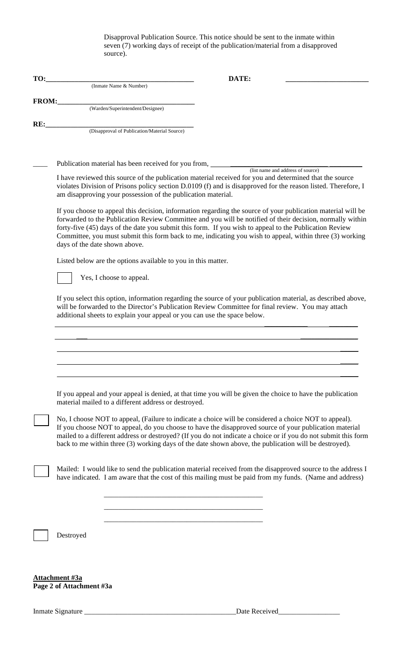Disapproval Publication Source. This notice should be sent to the inmate within seven (7) working days of receipt of the publication/material from a disapproved source).

| TO:          |                                                                                                                                                                                                                                                                                                | DATE:                                                                                                                                                                                                                                                                                                                                                                                                                                           |  |  |
|--------------|------------------------------------------------------------------------------------------------------------------------------------------------------------------------------------------------------------------------------------------------------------------------------------------------|-------------------------------------------------------------------------------------------------------------------------------------------------------------------------------------------------------------------------------------------------------------------------------------------------------------------------------------------------------------------------------------------------------------------------------------------------|--|--|
|              | (Inmate Name & Number)                                                                                                                                                                                                                                                                         |                                                                                                                                                                                                                                                                                                                                                                                                                                                 |  |  |
| <b>FROM:</b> |                                                                                                                                                                                                                                                                                                |                                                                                                                                                                                                                                                                                                                                                                                                                                                 |  |  |
|              | (Warden/Superintendent/Designee)                                                                                                                                                                                                                                                               |                                                                                                                                                                                                                                                                                                                                                                                                                                                 |  |  |
| RE:          |                                                                                                                                                                                                                                                                                                |                                                                                                                                                                                                                                                                                                                                                                                                                                                 |  |  |
|              | (Disapproval of Publication/Material Source)                                                                                                                                                                                                                                                   |                                                                                                                                                                                                                                                                                                                                                                                                                                                 |  |  |
|              |                                                                                                                                                                                                                                                                                                |                                                                                                                                                                                                                                                                                                                                                                                                                                                 |  |  |
|              | Publication material has been received for you from, ____________________________                                                                                                                                                                                                              |                                                                                                                                                                                                                                                                                                                                                                                                                                                 |  |  |
|              | am disapproving your possession of the publication material.                                                                                                                                                                                                                                   | (list name and address of source)<br>I have reviewed this source of the publication material received for you and determined that the source<br>violates Division of Prisons policy section D.0109 (f) and is disapproved for the reason listed. Therefore, I                                                                                                                                                                                   |  |  |
|              | days of the date shown above.                                                                                                                                                                                                                                                                  | If you choose to appeal this decision, information regarding the source of your publication material will be<br>forwarded to the Publication Review Committee and you will be notified of their decision, normally within<br>forty-five (45) days of the date you submit this form. If you wish to appeal to the Publication Review<br>Committee, you must submit this form back to me, indicating you wish to appeal, within three (3) working |  |  |
|              | Listed below are the options available to you in this matter.                                                                                                                                                                                                                                  |                                                                                                                                                                                                                                                                                                                                                                                                                                                 |  |  |
|              | Yes, I choose to appeal.                                                                                                                                                                                                                                                                       |                                                                                                                                                                                                                                                                                                                                                                                                                                                 |  |  |
|              | If you select this option, information regarding the source of your publication material, as described above,<br>will be forwarded to the Director's Publication Review Committee for final review. You may attach<br>additional sheets to explain your appeal or you can use the space below. |                                                                                                                                                                                                                                                                                                                                                                                                                                                 |  |  |
|              |                                                                                                                                                                                                                                                                                                |                                                                                                                                                                                                                                                                                                                                                                                                                                                 |  |  |
|              |                                                                                                                                                                                                                                                                                                |                                                                                                                                                                                                                                                                                                                                                                                                                                                 |  |  |
|              |                                                                                                                                                                                                                                                                                                |                                                                                                                                                                                                                                                                                                                                                                                                                                                 |  |  |
|              |                                                                                                                                                                                                                                                                                                |                                                                                                                                                                                                                                                                                                                                                                                                                                                 |  |  |
|              |                                                                                                                                                                                                                                                                                                |                                                                                                                                                                                                                                                                                                                                                                                                                                                 |  |  |
|              | material mailed to a different address or destroyed.                                                                                                                                                                                                                                           | If you appeal and your appeal is denied, at that time you will be given the choice to have the publication                                                                                                                                                                                                                                                                                                                                      |  |  |
|              |                                                                                                                                                                                                                                                                                                | No, I choose NOT to appeal, (Failure to indicate a choice will be considered a choice NOT to appeal).<br>If you choose NOT to appeal, do you choose to have the disapproved source of your publication material<br>mailed to a different address or destroyed? (If you do not indicate a choice or if you do not submit this form<br>back to me within three (3) working days of the date shown above, the publication will be destroyed).      |  |  |
|              |                                                                                                                                                                                                                                                                                                | Mailed: I would like to send the publication material received from the disapproved source to the address I<br>have indicated. I am aware that the cost of this mailing must be paid from my funds. (Name and address)                                                                                                                                                                                                                          |  |  |
|              |                                                                                                                                                                                                                                                                                                |                                                                                                                                                                                                                                                                                                                                                                                                                                                 |  |  |
|              |                                                                                                                                                                                                                                                                                                |                                                                                                                                                                                                                                                                                                                                                                                                                                                 |  |  |
|              |                                                                                                                                                                                                                                                                                                |                                                                                                                                                                                                                                                                                                                                                                                                                                                 |  |  |
|              | Destroyed                                                                                                                                                                                                                                                                                      |                                                                                                                                                                                                                                                                                                                                                                                                                                                 |  |  |
|              |                                                                                                                                                                                                                                                                                                |                                                                                                                                                                                                                                                                                                                                                                                                                                                 |  |  |
|              |                                                                                                                                                                                                                                                                                                |                                                                                                                                                                                                                                                                                                                                                                                                                                                 |  |  |
|              |                                                                                                                                                                                                                                                                                                |                                                                                                                                                                                                                                                                                                                                                                                                                                                 |  |  |
|              | Attachment #3a<br>Page 2 of Attachment #3a                                                                                                                                                                                                                                                     |                                                                                                                                                                                                                                                                                                                                                                                                                                                 |  |  |

Inmate Signature \_\_\_\_\_\_\_\_\_\_\_\_\_\_\_\_\_\_\_\_\_\_\_\_\_\_\_\_\_\_\_\_\_\_\_\_\_\_\_\_\_\_Date Received\_\_\_\_\_\_\_\_\_\_\_\_\_\_\_\_\_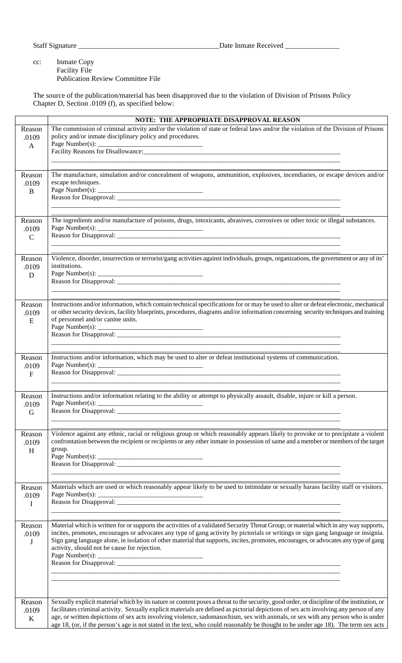Staff Signature \_\_\_\_\_\_\_\_\_\_\_\_\_\_\_\_\_\_\_\_\_\_\_\_\_\_\_\_\_\_\_\_\_\_\_\_\_\_\_Date Inmate Received \_\_\_\_\_\_\_\_\_\_\_\_\_\_\_

#### cc: Inmate Copy Facility File Publication Review Committee File

The source of the publication/material has been disapproved due to the violation of Division of Prisons Policy Chapter D, Section .0109 (f), as specified below:

|                                  | NOTE: THE APPROPRIATE DISAPPROVAL REASON                                                                                                                                                                                                                                                                                                                                                                                                                           |
|----------------------------------|--------------------------------------------------------------------------------------------------------------------------------------------------------------------------------------------------------------------------------------------------------------------------------------------------------------------------------------------------------------------------------------------------------------------------------------------------------------------|
| Reason<br>.0109<br>A             | The commission of criminal activity and/or the violation of state or federal laws and/or the violation of the Division of Prisons<br>policy and/or inmate disciplinary policy and procedures.<br>Page Number(s): $\overline{\phantom{a}}$                                                                                                                                                                                                                          |
|                                  | and the state of the state of the state of the state of the state of the state of the state of the state of the                                                                                                                                                                                                                                                                                                                                                    |
| Reason<br>.0109<br>$\mathbf{B}$  | The manufacture, simulation and/or concealment of weapons, ammunition, explosives, incendiaries, or escape devices and/or<br>escape techniques.                                                                                                                                                                                                                                                                                                                    |
|                                  |                                                                                                                                                                                                                                                                                                                                                                                                                                                                    |
| Reason<br>.0109<br>$\mathcal{C}$ | The ingredients and/or manufacture of poisons, drugs, intoxicants, abrasives, corrosives or other toxic or illegal substances.                                                                                                                                                                                                                                                                                                                                     |
| Reason<br>.0109<br>D             | Violence, disorder, insurrection or terrorist/gang activities against individuals, groups, organizations, the government or any of its'<br>institutions.<br>Reason for Disapproval: New York Contract the Contract of the Contract of the Contract of the Contract of the Contract of the Contract of the Contract of the Contract of the Contract of the Contract of the Contract of the                                                                          |
| Reason<br>.0109<br>${\bf E}$     | Instructions and/or information, which contain technical specifications for or may be used to alter or defeat electronic, mechanical<br>or other security devices, facility blueprints, procedures, diagrams and/or information concerning security techniques and training<br>of personnel and/or canine units.                                                                                                                                                   |
| Reason                           | Instructions and/or information, which may be used to alter or defeat institutional systems of communication.                                                                                                                                                                                                                                                                                                                                                      |
| .0109<br>$\mathbf{F}$            | Page Number(s):                                                                                                                                                                                                                                                                                                                                                                                                                                                    |
| Reason<br>.0109<br>$\mathbf G$   | Instructions and/or information relating to the ability or attempt to physically assault, disable, injure or kill a person.<br>Reason for Disapproval: _                                                                                                                                                                                                                                                                                                           |
| Reason<br>.0109<br>H             | Violence against any ethnic, racial or religious group or which reasonably appears likely to provoke or to precipitate a violent<br>confrontation between the recipient or recipients or any other inmate in possession of same and a member or members of the target<br>group.                                                                                                                                                                                    |
| Reason<br>.0109<br>I             | Materials which are used or which reasonably appear likely to be used to intimidate or sexually harass facility staff or visitors.<br>Page Number(s): $\overline{\phantom{a}}$                                                                                                                                                                                                                                                                                     |
| Reason<br>.0109<br>J             | Material which is written for or supports the activities of a validated Security Threat Group; or material which in any way supports,<br>incites, promotes, encourages or advocates any type of gang activity by pictorials or writings or sign gang language or insignia.<br>Sign gang language alone, in isolation of other material that supports, incites, promotes, encourages, or advocates any type of gang<br>activity, should not be cause for rejection. |
| Reason                           | Sexually explicit material which by its nature or content poses a threat to the security, good order, or discipline of the institution, or                                                                                                                                                                                                                                                                                                                         |
| .0109<br>K                       | facilitates criminal activity. Sexually explicit materials are defined as pictorial depictions of sex acts involving any person of any<br>age, or written depictions of sex acts involving violence, sadomasochism, sex with animals, or sex with any person who is under<br>age 18, (or, if the person's age is not stated in the text, who could reasonably be thought to be under age 18). The term sex acts                                                    |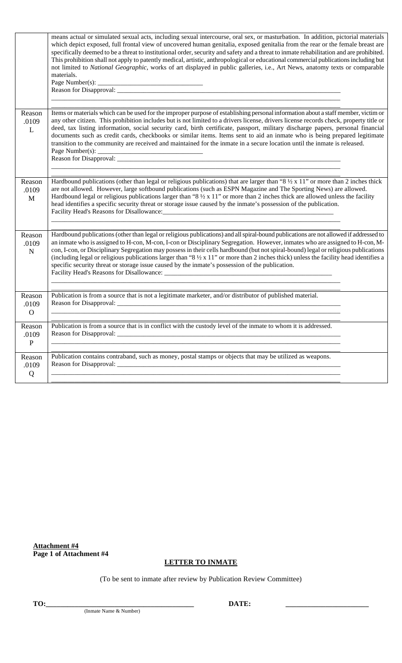|                                   | means actual or simulated sexual acts, including sexual intercourse, oral sex, or masturbation. In addition, pictorial materials<br>which depict exposed, full frontal view of uncovered human genitalia, exposed genitalia from the rear or the female breast are<br>specifically deemed to be a threat to institutional order, security and safety and a threat to inmate rehabilitation and are prohibited.<br>This prohibition shall not apply to patently medical, artistic, anthropological or educational commercial publications including but<br>not limited to National Geographic, works of art displayed in public galleries, i.e., Art News, anatomy texts or comparable<br>materials. |  |
|-----------------------------------|-----------------------------------------------------------------------------------------------------------------------------------------------------------------------------------------------------------------------------------------------------------------------------------------------------------------------------------------------------------------------------------------------------------------------------------------------------------------------------------------------------------------------------------------------------------------------------------------------------------------------------------------------------------------------------------------------------|--|
| Reason<br>.0109<br>L              | Items or materials which can be used for the improper purpose of establishing personal information about a staff member, victim or<br>any other citizen. This prohibition includes but is not limited to a drivers license, drivers license records check, property title or<br>deed, tax listing information, social security card, birth certificate, passport, military discharge papers, personal financial<br>documents such as credit cards, checkbooks or similar items. Items sent to aid an inmate who is being prepared legitimate<br>transition to the community are received and maintained for the inmate in a secure location until the inmate is released.                           |  |
| Reason<br>.0109<br>$\mathbf M$    | Hardbound publications (other than legal or religious publications) that are larger than "8 $\frac{1}{2}$ x 11" or more than 2 inches thick<br>are not allowed. However, large softbound publications (such as ESPN Magazine and The Sporting News) are allowed.<br>Hardbound legal or religious publications larger than "8 $\frac{1}{2} \times 11$ " or more than 2 inches thick are allowed unless the facility<br>head identifies a specific security threat or storage issue caused by the inmate's possession of the publication.                                                                                                                                                             |  |
| Reason<br>.0109<br>$\mathbf N$    | Hardbound publications (other than legal or religious publications) and all spiral-bound publications are not allowed if addressed to<br>an inmate who is assigned to H-con, M-con, I-con or Disciplinary Segregation. However, inmates who are assigned to H-con, M-<br>con, I-con, or Disciplinary Segregation may possess in their cells hardbound (but not spiral-bound) legal or religious publications<br>(including legal or religious publications larger than "8 $\frac{1}{2} \times 11$ " or more than 2 inches thick) unless the facility head identifies a<br>specific security threat or storage issue caused by the inmate's possession of the publication.                           |  |
| Reason<br>.0109<br>$\overline{O}$ | Publication is from a source that is not a legitimate marketer, and/or distributor of published material.                                                                                                                                                                                                                                                                                                                                                                                                                                                                                                                                                                                           |  |
| Reason<br>.0109<br>$\mathbf{P}$   | Publication is from a source that is in conflict with the custody level of the inmate to whom it is addressed.                                                                                                                                                                                                                                                                                                                                                                                                                                                                                                                                                                                      |  |
| Reason<br>.0109<br>Q              | Publication contains contraband, such as money, postal stamps or objects that may be utilized as weapons.                                                                                                                                                                                                                                                                                                                                                                                                                                                                                                                                                                                           |  |

**Attachment #4 Page 1 of Attachment #4**

## **LETTER TO INMATE**

(To be sent to inmate after review by Publication Review Committee)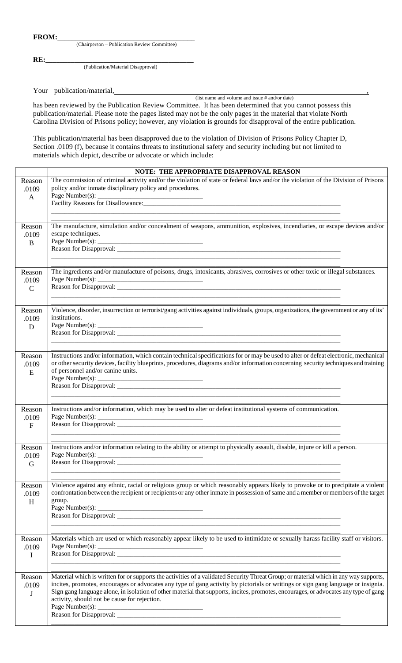(Chairperson – Publication Review Committee)

**RE:**<br> **RE:** (Publication/Material Disapproval)

Your publication/material, (list name and volume and issue # and/or date)

has been reviewed by the Publication Review Committee. It has been determined that you cannot possess this publication/material. Please note the pages listed may not be the only pages in the material that violate North Carolina Division of Prisons policy; however, any violation is grounds for disapproval of the entire publication.

This publication/material has been disapproved due to the violation of Division of Prisons Policy Chapter D, Section .0109 (f), because it contains threats to institutional safety and security including but not limited to materials which depict, describe or advocate or which include:

|                                 | NOTE: THE APPROPRIATE DISAPPROVAL REASON                                                                                                                                                                                                                                                                                                                                                                                                                           |
|---------------------------------|--------------------------------------------------------------------------------------------------------------------------------------------------------------------------------------------------------------------------------------------------------------------------------------------------------------------------------------------------------------------------------------------------------------------------------------------------------------------|
| Reason<br>.0109<br>$\mathbf{A}$ | The commission of criminal activity and/or the violation of state or federal laws and/or the violation of the Division of Prisons<br>policy and/or inmate disciplinary policy and procedures.                                                                                                                                                                                                                                                                      |
| Reason<br>.0109<br>$\bf{B}$     | The manufacture, simulation and/or concealment of weapons, ammunition, explosives, incendiaries, or escape devices and/or<br>escape techniques.                                                                                                                                                                                                                                                                                                                    |
| Reason<br>.0109<br>$\mathbf C$  | The ingredients and/or manufacture of poisons, drugs, intoxicants, abrasives, corrosives or other toxic or illegal substances.                                                                                                                                                                                                                                                                                                                                     |
| Reason<br>.0109<br>D            | Violence, disorder, insurrection or terrorist/gang activities against individuals, groups, organizations, the government or any of its'<br>institutions.                                                                                                                                                                                                                                                                                                           |
| Reason<br>.0109<br>E            | Instructions and/or information, which contain technical specifications for or may be used to alter or defeat electronic, mechanical<br>or other security devices, facility blueprints, procedures, diagrams and/or information concerning security techniques and training<br>of personnel and/or canine units.                                                                                                                                                   |
| Reason<br>.0109<br>$\mathbf{F}$ | Instructions and/or information, which may be used to alter or defeat institutional systems of communication.                                                                                                                                                                                                                                                                                                                                                      |
| Reason<br>.0109<br>G            | Instructions and/or information relating to the ability or attempt to physically assault, disable, injure or kill a person.<br>Page Number(s): $\overline{\phantom{a}}$<br>Reason for Disapproval:                                                                                                                                                                                                                                                                 |
| Reason<br>.0109<br>H            | Violence against any ethnic, racial or religious group or which reasonably appears likely to provoke or to precipitate a violent<br>confrontation between the recipient or recipients or any other inmate in possession of same and a member or members of the target<br>group.                                                                                                                                                                                    |
| Reason<br>.0109<br>$\mathbf I$  | Materials which are used or which reasonably appear likely to be used to intimidate or sexually harass facility staff or visitors.<br>Page Number(s): $\frac{1}{2}$ $\frac{1}{2}$ $\frac{1}{2}$ $\frac{1}{2}$ $\frac{1}{2}$ $\frac{1}{2}$ $\frac{1}{2}$ $\frac{1}{2}$ $\frac{1}{2}$ $\frac{1}{2}$ $\frac{1}{2}$ $\frac{1}{2}$ $\frac{1}{2}$ $\frac{1}{2}$ $\frac{1}{2}$ $\frac{1}{2}$ $\frac{1}{2}$ $\frac{1}{2}$ $\frac{1}{2}$ $\frac{1}{2}$ $\frac{1$            |
| Reason<br>.0109<br>J            | Material which is written for or supports the activities of a validated Security Threat Group; or material which in any way supports,<br>incites, promotes, encourages or advocates any type of gang activity by pictorials or writings or sign gang language or insignia.<br>Sign gang language alone, in isolation of other material that supports, incites, promotes, encourages, or advocates any type of gang<br>activity, should not be cause for rejection. |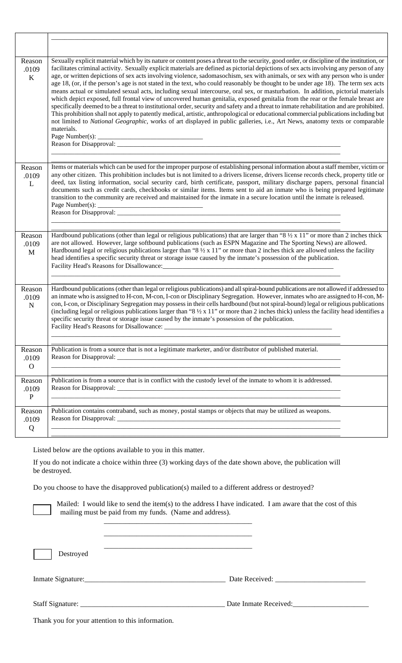| Reason<br>.0109<br>$\rm K$      | Sexually explicit material which by its nature or content poses a threat to the security, good order, or discipline of the institution, or<br>facilitates criminal activity. Sexually explicit materials are defined as pictorial depictions of sex acts involving any person of any<br>age, or written depictions of sex acts involving violence, sadomasochism, sex with animals, or sex with any person who is under<br>age 18, (or, if the person's age is not stated in the text, who could reasonably be thought to be under age 18). The term sex acts<br>means actual or simulated sexual acts, including sexual intercourse, oral sex, or masturbation. In addition, pictorial materials<br>which depict exposed, full frontal view of uncovered human genitalia, exposed genitalia from the rear or the female breast are<br>specifically deemed to be a threat to institutional order, security and safety and a threat to inmate rehabilitation and are prohibited.<br>This prohibition shall not apply to patently medical, artistic, anthropological or educational commercial publications including but<br>not limited to National Geographic, works of art displayed in public galleries, i.e., Art News, anatomy texts or comparable<br>materials. |
|---------------------------------|----------------------------------------------------------------------------------------------------------------------------------------------------------------------------------------------------------------------------------------------------------------------------------------------------------------------------------------------------------------------------------------------------------------------------------------------------------------------------------------------------------------------------------------------------------------------------------------------------------------------------------------------------------------------------------------------------------------------------------------------------------------------------------------------------------------------------------------------------------------------------------------------------------------------------------------------------------------------------------------------------------------------------------------------------------------------------------------------------------------------------------------------------------------------------------------------------------------------------------------------------------------------|
| Reason<br>.0109<br>L            | Items or materials which can be used for the improper purpose of establishing personal information about a staff member, victim or<br>any other citizen. This prohibition includes but is not limited to a drivers license, drivers license records check, property title or<br>deed, tax listing information, social security card, birth certificate, passport, military discharge papers, personal financial<br>documents such as credit cards, checkbooks or similar items. Items sent to aid an inmate who is being prepared legitimate<br>transition to the community are received and maintained for the inmate in a secure location until the inmate is released.<br>Page Number(s): $\overline{\phantom{a}}$                                                                                                                                                                                                                                                                                                                                                                                                                                                                                                                                                |
| Reason<br>.0109<br>$\mathbf{M}$ | Hardbound publications (other than legal or religious publications) that are larger than "8 $\frac{1}{2}$ x 11" or more than 2 inches thick<br>are not allowed. However, large softbound publications (such as ESPN Magazine and The Sporting News) are allowed.<br>Hardbound legal or religious publications larger than " $8\frac{1}{2}$ x 11" or more than 2 inches thick are allowed unless the facility<br>head identifies a specific security threat or storage issue caused by the inmate's possession of the publication.                                                                                                                                                                                                                                                                                                                                                                                                                                                                                                                                                                                                                                                                                                                                    |
| Reason<br>.0109<br>$\mathbf N$  | Hardbound publications (other than legal or religious publications) and all spiral-bound publications are not allowed if addressed to<br>an inmate who is assigned to H-con, M-con, I-con or Disciplinary Segregation. However, inmates who are assigned to H-con, M-<br>con, I-con, or Disciplinary Segregation may possess in their cells hardbound (but not spiral-bound) legal or religious publications<br>(including legal or religious publications larger than "8 $\frac{1}{2}$ x 11" or more than 2 inches thick) unless the facility head identifies a<br>specific security threat or storage issue caused by the inmate's possession of the publication.<br>Facility Head's Reasons for Disallowance:                                                                                                                                                                                                                                                                                                                                                                                                                                                                                                                                                     |
| Reason<br>.0109<br>$\mathbf{O}$ | Publication is from a source that is not a legitimate marketer, and/or distributor of published material.                                                                                                                                                                                                                                                                                                                                                                                                                                                                                                                                                                                                                                                                                                                                                                                                                                                                                                                                                                                                                                                                                                                                                            |
| Reason<br>.0109<br>${\bf P}$    | Publication is from a source that is in conflict with the custody level of the inmate to whom it is addressed.                                                                                                                                                                                                                                                                                                                                                                                                                                                                                                                                                                                                                                                                                                                                                                                                                                                                                                                                                                                                                                                                                                                                                       |
| Reason<br>.0109<br>Q            | Publication contains contraband, such as money, postal stamps or objects that may be utilized as weapons.                                                                                                                                                                                                                                                                                                                                                                                                                                                                                                                                                                                                                                                                                                                                                                                                                                                                                                                                                                                                                                                                                                                                                            |

Listed below are the options available to you in this matter.

If you do not indicate a choice within three (3) working days of the date shown above, the publication will be destroyed.

Do you choose to have the disapproved publication(s) mailed to a different address or destroyed?

\_\_\_\_\_\_\_\_\_\_\_\_\_\_\_\_\_\_\_\_\_\_\_\_\_\_\_\_\_\_\_\_\_\_\_\_\_\_\_\_\_

\_\_\_\_\_\_\_\_\_\_\_\_\_\_\_\_\_\_\_\_\_\_\_\_\_\_\_\_\_\_\_\_\_\_\_\_\_\_\_\_\_

\_\_\_\_\_\_\_\_\_\_\_\_\_\_\_\_\_\_\_\_\_\_\_\_\_\_\_\_\_\_\_\_\_\_\_\_\_\_\_\_\_

Mailed: I would like to send the item(s) to the address I have indicated. I am aware that the cost of this mailing must be paid from my funds. (Name and address).

Destroyed

Inmate Signature:\_\_\_\_\_\_\_\_\_\_\_\_\_\_\_\_\_\_\_\_\_\_\_\_\_\_\_\_\_\_\_\_\_\_\_\_\_\_\_ Date Received: \_\_\_\_\_\_\_\_\_\_\_\_\_\_\_\_\_\_\_\_\_\_\_\_\_

Staff Signature: \_\_\_\_\_\_\_\_\_\_\_\_\_\_\_\_\_\_\_\_\_\_\_\_\_\_\_\_\_\_\_\_\_\_\_\_\_\_\_\_ Date Inmate Received:\_\_\_\_\_\_\_\_\_\_\_\_\_\_\_\_\_\_\_\_\_

Thank you for your attention to this information.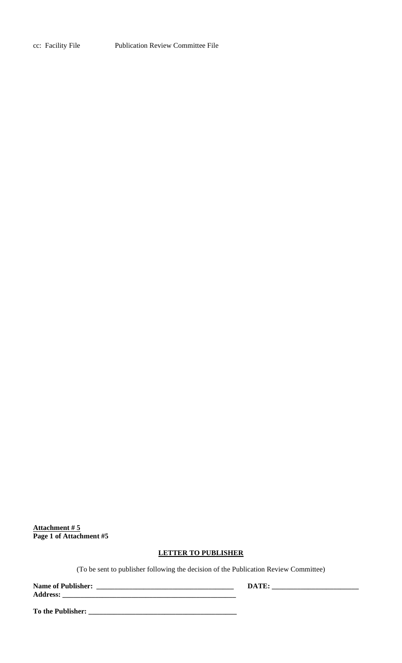cc: Facility FilePublication Review Committee File

**Attachment # 5 Page 1 of Attachment #5**

## **LETTER TO PUBLISHER**

(To be sent to publisher following the decision of the Publication Review Committee)

**Name of Publisher: \_\_\_\_\_\_\_\_\_\_\_\_\_\_\_\_\_\_\_\_\_\_\_\_\_\_\_\_\_\_\_\_\_\_\_\_\_\_ DATE: \_\_\_\_\_\_\_\_\_\_\_\_\_\_\_\_\_\_\_\_\_\_\_\_ Address: \_\_\_\_\_\_\_\_\_\_\_\_\_\_\_\_\_\_\_\_\_\_\_\_\_\_\_\_\_\_\_\_\_\_\_\_\_\_\_\_\_\_\_\_\_\_\_\_**

**To the Publisher: \_\_\_\_\_\_\_\_\_\_\_\_\_\_\_\_\_\_\_\_\_\_\_\_\_\_\_\_\_\_\_\_\_\_\_\_\_\_\_\_\_**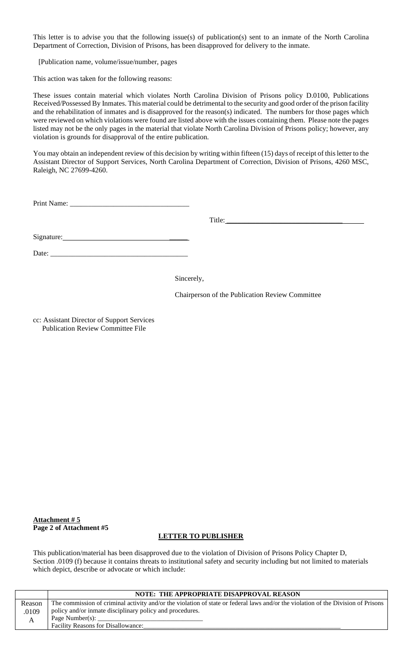This letter is to advise you that the following issue(s) of publication(s) sent to an inmate of the North Carolina Department of Correction, Division of Prisons, has been disapproved for delivery to the inmate.

[Publication name, volume/issue/number, pages

This action was taken for the following reasons:

These issues contain material which violates North Carolina Division of Prisons policy D.0100, Publications Received/Possessed By Inmates. This material could be detrimental to the security and good order of the prison facility and the rehabilitation of inmates and is disapproved for the reason(s) indicated. The numbers for those pages which were reviewed on which violations were found are listed above with the issues containing them. Please note the pages listed may not be the only pages in the material that violate North Carolina Division of Prisons policy; however, any violation is grounds for disapproval of the entire publication.

You may obtain an independent review of this decision by writing within fifteen (15) days of receipt of this letter to the Assistant Director of Support Services, North Carolina Department of Correction, Division of Prisons, 4260 MSC, Raleigh, NC 27699-4260.

| Print Name: |  |
|-------------|--|
|-------------|--|

Title: \_\_\_\_\_\_\_\_\_\_\_\_\_\_\_\_\_\_\_\_\_\_\_\_\_\_\_\_\_\_\_\_

Signature:

Date:  $\frac{ }{ }$ 

Sincerely,

Chairperson of the Publication Review Committee

cc: Assistant Director of Support Services Publication Review Committee File

**Attachment # 5 Page 2 of Attachment #5**

### **LETTER TO PUBLISHER**

This publication/material has been disapproved due to the violation of Division of Prisons Policy Chapter D, Section .0109 (f) because it contains threats to institutional safety and security including but not limited to materials which depict, describe or advocate or which include:

|        | <b>NOTE: THE APPROPRIATE DISAPPROVAL REASON</b>                                                                                   |
|--------|-----------------------------------------------------------------------------------------------------------------------------------|
| Reason | The commission of criminal activity and/or the violation of state or federal laws and/or the violation of the Division of Prisons |
| .0109  | policy and/or inmate disciplinary policy and procedures.                                                                          |
| A      | Page Number(s): $\Box$                                                                                                            |
|        | <b>Facility Reasons for Disallowance:</b>                                                                                         |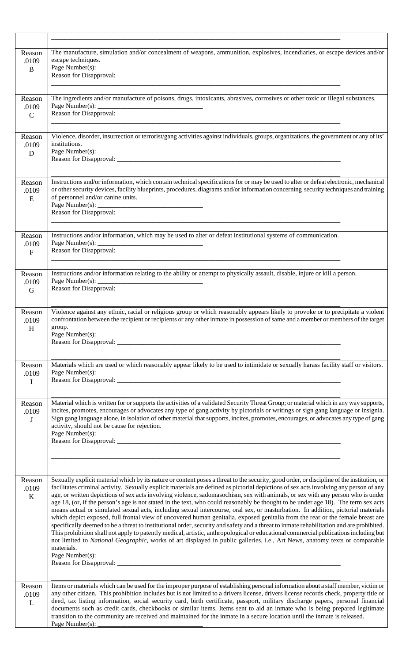| Reason<br>.0109<br>B             | The manufacture, simulation and/or concealment of weapons, ammunition, explosives, incendiaries, or escape devices and/or<br>escape techniques.                                                                                                                                                                                                                                                                                                                                                                                                                                                                                                                                                                                                                                                                                                                                                                                                                                                                                                                                                                                                                                                                                                                      |
|----------------------------------|----------------------------------------------------------------------------------------------------------------------------------------------------------------------------------------------------------------------------------------------------------------------------------------------------------------------------------------------------------------------------------------------------------------------------------------------------------------------------------------------------------------------------------------------------------------------------------------------------------------------------------------------------------------------------------------------------------------------------------------------------------------------------------------------------------------------------------------------------------------------------------------------------------------------------------------------------------------------------------------------------------------------------------------------------------------------------------------------------------------------------------------------------------------------------------------------------------------------------------------------------------------------|
| Reason<br>.0109<br>$\mathcal{C}$ | The ingredients and/or manufacture of poisons, drugs, intoxicants, abrasives, corrosives or other toxic or illegal substances.                                                                                                                                                                                                                                                                                                                                                                                                                                                                                                                                                                                                                                                                                                                                                                                                                                                                                                                                                                                                                                                                                                                                       |
| Reason<br>.0109<br>D             | Violence, disorder, insurrection or terrorist/gang activities against individuals, groups, organizations, the government or any of its'<br>institutions.                                                                                                                                                                                                                                                                                                                                                                                                                                                                                                                                                                                                                                                                                                                                                                                                                                                                                                                                                                                                                                                                                                             |
| Reason<br>.0109<br>E             | Instructions and/or information, which contain technical specifications for or may be used to alter or defeat electronic, mechanical<br>or other security devices, facility blueprints, procedures, diagrams and/or information concerning security techniques and training<br>of personnel and/or canine units.                                                                                                                                                                                                                                                                                                                                                                                                                                                                                                                                                                                                                                                                                                                                                                                                                                                                                                                                                     |
| Reason<br>.0109<br>$\mathbf{F}$  | Instructions and/or information, which may be used to alter or defeat institutional systems of communication.<br>Page Number(s):                                                                                                                                                                                                                                                                                                                                                                                                                                                                                                                                                                                                                                                                                                                                                                                                                                                                                                                                                                                                                                                                                                                                     |
| Reason<br>.0109<br>G             | Instructions and/or information relating to the ability or attempt to physically assault, disable, injure or kill a person.<br>Page Number(s): $\_\$                                                                                                                                                                                                                                                                                                                                                                                                                                                                                                                                                                                                                                                                                                                                                                                                                                                                                                                                                                                                                                                                                                                 |
| Reason<br>.0109<br>H             | Violence against any ethnic, racial or religious group or which reasonably appears likely to provoke or to precipitate a violent<br>confrontation between the recipient or recipients or any other inmate in possession of same and a member or members of the target<br>group.                                                                                                                                                                                                                                                                                                                                                                                                                                                                                                                                                                                                                                                                                                                                                                                                                                                                                                                                                                                      |
| Reason<br>.0109<br>$\mathbf I$   | Materials which are used or which reasonably appear likely to be used to intimidate or sexually harass facility staff or visitors.                                                                                                                                                                                                                                                                                                                                                                                                                                                                                                                                                                                                                                                                                                                                                                                                                                                                                                                                                                                                                                                                                                                                   |
| Reason<br>.0109<br>J             | Material which is written for or supports the activities of a validated Security Threat Group; or material which in any way supports,<br>incites, promotes, encourages or advocates any type of gang activity by pictorials or writings or sign gang language or insignia.<br>Sign gang language alone, in isolation of other material that supports, incites, promotes, encourages, or advocates any type of gang<br>activity, should not be cause for rejection.                                                                                                                                                                                                                                                                                                                                                                                                                                                                                                                                                                                                                                                                                                                                                                                                   |
| Reason<br>.0109<br>K             | Sexually explicit material which by its nature or content poses a threat to the security, good order, or discipline of the institution, or<br>facilitates criminal activity. Sexually explicit materials are defined as pictorial depictions of sex acts involving any person of any<br>age, or written depictions of sex acts involving violence, sadomasochism, sex with animals, or sex with any person who is under<br>age 18, (or, if the person's age is not stated in the text, who could reasonably be thought to be under age 18). The term sex acts<br>means actual or simulated sexual acts, including sexual intercourse, oral sex, or masturbation. In addition, pictorial materials<br>which depict exposed, full frontal view of uncovered human genitalia, exposed genitalia from the rear or the female breast are<br>specifically deemed to be a threat to institutional order, security and safety and a threat to inmate rehabilitation and are prohibited.<br>This prohibition shall not apply to patently medical, artistic, anthropological or educational commercial publications including but<br>not limited to National Geographic, works of art displayed in public galleries, i.e., Art News, anatomy texts or comparable<br>materials. |
| Reason<br>.0109<br>L             | Items or materials which can be used for the improper purpose of establishing personal information about a staff member, victim or<br>any other citizen. This prohibition includes but is not limited to a drivers license, drivers license records check, property title or<br>deed, tax listing information, social security card, birth certificate, passport, military discharge papers, personal financial<br>documents such as credit cards, checkbooks or similar items. Items sent to aid an inmate who is being prepared legitimate<br>transition to the community are received and maintained for the inmate in a secure location until the inmate is released.<br>Page Number(s):                                                                                                                                                                                                                                                                                                                                                                                                                                                                                                                                                                         |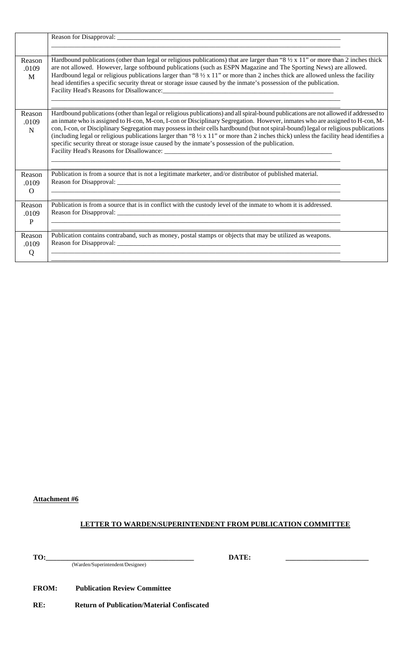| Reason<br>.0109<br>M            | Hardbound publications (other than legal or religious publications) that are larger than " $8\frac{1}{2} \times 11$ " or more than 2 inches thick<br>are not allowed. However, large softbound publications (such as ESPN Magazine and The Sporting News) are allowed.<br>Hardbound legal or religious publications larger than "8 $\frac{1}{2} \times 11$ " or more than 2 inches thick are allowed unless the facility<br>head identifies a specific security threat or storage issue caused by the inmate's possession of the publication.                                                                                                                       |  |
|---------------------------------|---------------------------------------------------------------------------------------------------------------------------------------------------------------------------------------------------------------------------------------------------------------------------------------------------------------------------------------------------------------------------------------------------------------------------------------------------------------------------------------------------------------------------------------------------------------------------------------------------------------------------------------------------------------------|--|
| Reason<br>.0109<br>$\mathbf N$  | Hardbound publications (other than legal or religious publications) and all spiral-bound publications are not allowed if addressed to<br>an inmate who is assigned to H-con, M-con, I-con or Disciplinary Segregation. However, inmates who are assigned to H-con, M-<br>con, I-con, or Disciplinary Segregation may possess in their cells hardbound (but not spiral-bound) legal or religious publications<br>(including legal or religious publications larger than "8 $\frac{1}{2}$ x 11" or more than 2 inches thick) unless the facility head identifies a<br>specific security threat or storage issue caused by the inmate's possession of the publication. |  |
| Reason<br>.0109<br>$\Omega$     | Publication is from a source that is not a legitimate marketer, and/or distributor of published material.                                                                                                                                                                                                                                                                                                                                                                                                                                                                                                                                                           |  |
| Reason<br>.0109<br>$\mathbf{P}$ | Publication is from a source that is in conflict with the custody level of the inmate to whom it is addressed.                                                                                                                                                                                                                                                                                                                                                                                                                                                                                                                                                      |  |
| Reason<br>.0109<br>Q            | Publication contains contraband, such as money, postal stamps or objects that may be utilized as weapons.                                                                                                                                                                                                                                                                                                                                                                                                                                                                                                                                                           |  |

### **Attachment #6**

# **LETTER TO WARDEN/SUPERINTENDENT FROM PUBLICATION COMMITTEE**

**TO:\_\_\_\_\_\_\_\_\_\_\_\_\_\_\_\_\_\_\_\_\_\_\_\_\_\_\_\_\_\_\_\_\_\_\_\_\_\_\_\_\_ DATE: \_\_\_\_\_\_\_\_\_\_\_\_\_\_\_\_\_\_\_\_\_\_\_** (Warden/Superintendent/Designee)

**FROM: Publication Review Committee**

**RE: Return of Publication/Material Confiscated**